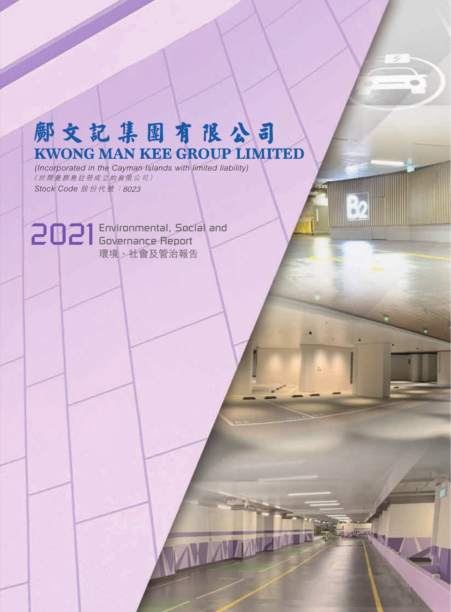# 郞文記集團有限公司 **KWONG MAN KEE GROUP LIMITED**

*(Incorporated in the Cayman Islands with limited liability) Stock Code* 股份代號 :8023 (於開曼群島註冊成立的有限公司)

2021 Environmental, Social and Governance Report 環境、社會及管治報告

**MY MARINER**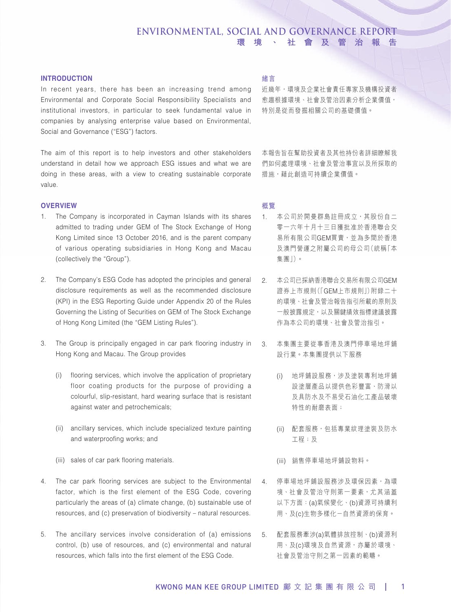### **INTRODUCTION**

In recent years, there has been an increasing trend among Environmental and Corporate Social Responsibility Specialists and institutional investors, in particular to seek fundamental value in companies by analysing enterprise value based on Environmental, Social and Governance ("ESG") factors.

The aim of this report is to help investors and other stakeholders understand in detail how we approach ESG issues and what we are doing in these areas, with a view to creating sustainable corporate value.

### **OVERVIEW**

- 1. The Company is incorporated in Cayman Islands with its shares admitted to trading under GEM of The Stock Exchange of Hong Kong Limited since 13 October 2016, and is the parent company of various operating subsidiaries in Hong Kong and Macau (collectively the "Group").
- 2. The Company's ESG Code has adopted the principles and general disclosure requirements as well as the recommended disclosure (KPI) in the ESG Reporting Guide under Appendix 20 of the Rules Governing the Listing of Securities on GEM of The Stock Exchange of Hong Kong Limited (the "GEM Listing Rules").
- 3. The Group is principally engaged in car park flooring industry in Hong Kong and Macau. The Group provides
	- (i) flooring services, which involve the application of proprietary floor coating products for the purpose of providing a colourful, slip-resistant, hard wearing surface that is resistant against water and petrochemicals;
	- (ii) ancillary services, which include specialized texture painting and waterproofing works; and
	- (iii) sales of car park flooring materials.
- 4. The car park flooring services are subject to the Environmental factor, which is the first element of the ESG Code, covering particularly the areas of (a) climate change, (b) sustainable use of resources, and (c) preservation of biodiversity – natural resources.
- 5. The ancillary services involve consideration of (a) emissions control, (b) use of resources, and (c) environmental and natural resources, which falls into the first element of the ESG Code.

### 緒言

近幾年,環境及企業社會責任專家及機構投資者 愈趨根據環境、社會及管治因素分析企業價值, 特別是從而發掘相關公司的基礎價值。

本報告旨在幫助投資者及其他持份者詳細瞭解我 們如何處理環境、社會及管治事宜以及所採取的 措施,藉此創造可持續企業價值。

### 概覽

- 1. 本公司於開曼群島註冊成立,其股份自二 零一六年十月十三日獲批准於香港聯合交 易所有限公司GEM買賣,並為多間於香港 及澳門營運之附屬公司的母公司(統稱「本 集團」)。
- 2. 本公司已採納香港聯合交易所有限公司GEM 證券上市規則(「GEM上市規則」)附錄二十 的環境、社會及管治報告指引所載的原則及 一般披露規定,以及關鍵績效指標建議披露 作為本公司的環境、社會及管治指引。
- 3. 本集團主要從事香港及澳門停車場地坪鋪 設行業。本集團提供以下服務
	- (i) 地坪鋪設服務,涉及塗裝專利地坪鋪 設塗層產品以提供色彩豐富、防滑以 及具防水及不易受石油化工產品破壞 特性的耐磨表面;
	- (ii) 配套服務, 包括專業紋理塗裝及防水 工程;及
	- (iii) 銷售停車場地坪鋪設物料。
- 4. 停車場地坪鋪設服務涉及環保因素,為環 境、社會及管治守則第一要素,尤其涵蓋 以下方面:(a)氣候變化、(b)資源可持續利 用、及(c)生物多樣化-自然資源的保育。
- 5. 配套服務牽涉(a)氣體排放控制、(b)資源利 用、及(c)環境及自然資源,亦屬於環境、 社會及管治守則之第一因素的範疇。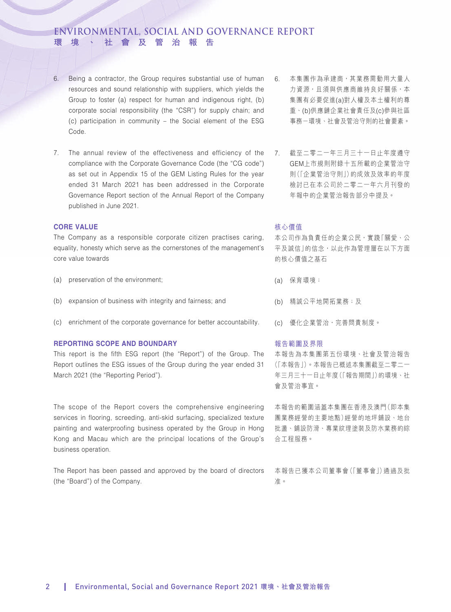- 6. Being a contractor, the Group requires substantial use of human resources and sound relationship with suppliers, which yields the Group to foster (a) respect for human and indigenous right, (b) corporate social responsibility (the "CSR") for supply chain; and (c) participation in community – the Social element of the ESG Code.
- 7. The annual review of the effectiveness and efficiency of the compliance with the Corporate Governance Code (the "CG code") as set out in Appendix 15 of the GEM Listing Rules for the year ended 31 March 2021 has been addressed in the Corporate Governance Report section of the Annual Report of the Company published in June 2021.

### **CORE VALUE**

The Company as a responsible corporate citizen practises caring, equality, honesty which serve as the cornerstones of the management's core value towards

- (a) preservation of the environment;
- (b) expansion of business with integrity and fairness; and
- (c) enrichment of the corporate governance for better accountability.

### **REPORTING SCOPE AND BOUNDARY**

This report is the fifth ESG report (the "Report") of the Group. The Report outlines the ESG issues of the Group during the year ended 31 March 2021 (the "Reporting Period").

The scope of the Report covers the comprehensive engineering services in flooring, screeding, anti-skid surfacing, specialized texture painting and waterproofing business operated by the Group in Hong Kong and Macau which are the principal locations of the Group's business operation.

The Report has been passed and approved by the board of directors (the "Board") of the Company.

- 6. 本集團作為承建商,其業務需動用大量人 力資源,且須與供應商維持良好關係,本 集團有必要促進(a)對人權及本土權利的尊 重、(b)供應鏈企業社會責任及(c)參與社區 事務-環境、社會及管治守則的社會要素。
- 7. 截至二零二一年三月三十一日止年度遵守 GEM上市規則附錄十五所載的企業管治守 則(「企業管治守則」)的成效及效率的年度 檢討已在本公司於二零二一年六月刊發的 年報中的企業管治報告部分中提及。

### 核心價值

本公司作為負責任的企業公民,實踐「關愛、公 平及誠信」的信念,以此作為管理層在以下方面 的核心價值之基石

- (a) 保育環境;
- (b) 精誠公平地開拓業務;及
- (c) 優化企業管治,完善問責制度。

### 報告範圍及界限

本報告為本集團第五份環境、社會及管治報告 (「本報告」)。本報告已概述本集團截至二零二一 年三月三十一日止年度(「報告期間」)的環境、社 會及管治事宜。

本報告的範圍涵蓋本集團在香港及澳門(即本集 團業務經營的主要地點)經營的地坪鋪設、地台 批盪、鋪設防滑、專業紋理塗裝及防水業務的綜 合工程服務。

本報告已獲本公司董事會(「董事會」)通過及批 准。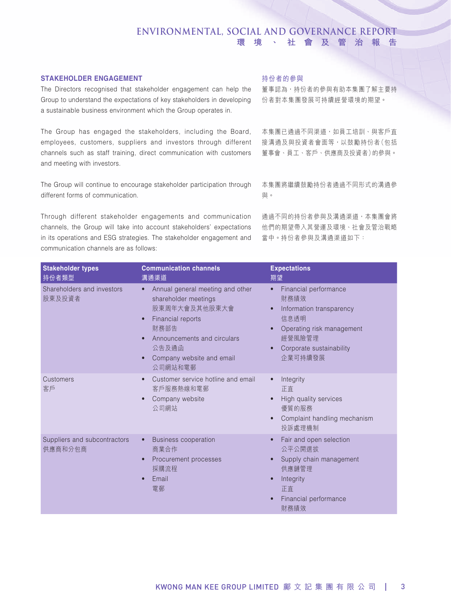### **STAKEHOLDER ENGAGEMENT**

The Directors recognised that stakeholder engagement can help the Group to understand the expectations of key stakeholders in developing a sustainable business environment which the Group operates in.

The Group has engaged the stakeholders, including the Board, employees, customers, suppliers and investors through different channels such as staff training, direct communication with customers and meeting with investors.

The Group will continue to encourage stakeholder participation through different forms of communication.

Through different stakeholder engagements and communication channels, the Group will take into account stakeholders' expectations in its operations and ESG strategies. The stakeholder engagement and communication channels are as follows:

### 持份者的參與

董事認為,持份者的參與有助本集團了解主要持 份者對本集團發展可持續經營環境的期望。

本集團已通過不同渠道,如員工培訓、與客戶直 接溝通及與投資者會面等,以鼓勵持份者(包括 董事會、員工、客戶、供應商及投資者)的參與。

本集團將繼續鼓勵持份者通過不同形式的溝通參 與。

通過不同的持份者參與及溝通渠道,本集團會將 他們的期望帶入其營運及環境、社會及管治戰略 當中。持份者參與及溝通渠道如下:

| <b>Stakeholder types</b><br>持份者類型       | <b>Communication channels</b><br>溝通渠道                                                                                                                                                                                                      | <b>Expectations</b><br>期望                                                                                                                                                 |
|-----------------------------------------|--------------------------------------------------------------------------------------------------------------------------------------------------------------------------------------------------------------------------------------------|---------------------------------------------------------------------------------------------------------------------------------------------------------------------------|
| Shareholders and investors<br>股東及投資者    | Annual general meeting and other<br>$\bullet$<br>shareholder meetings<br>股東周年大會及其他股東大會<br>Financial reports<br>$\bullet$<br>財務部告<br>Announcements and circulars<br>$\bullet$<br>公告及通函<br>Company website and email<br>$\bullet$<br>公司網站和電郵 | Financial performance<br>$\bullet$<br>財務績效<br>Information transparency<br>$\bullet$<br>信息诱明<br>Operating risk management<br>經營風險管理<br>Corporate sustainability<br>企業可持續發展 |
| Customers<br>客戶                         | Customer service hotline and email<br>$\bullet$<br>客戶服務熱線和電郵<br>Company website<br>$\bullet$<br>公司網站                                                                                                                                       | Integrity<br>正直<br>High quality services<br>優質的服務<br>Complaint handling mechanism<br>投訴處理機制                                                                               |
| Suppliers and subcontractors<br>供應商和分包商 | <b>Business cooperation</b><br>$\bullet$<br>商業合作<br>Procurement processes<br>$\bullet$<br>採購流程<br>Email<br>電郵                                                                                                                              | Fair and open selection<br>公平公開選拔<br>Supply chain management<br>供應鏈管理<br>Integrity<br>正直<br>Financial performance<br>財務績效                                                 |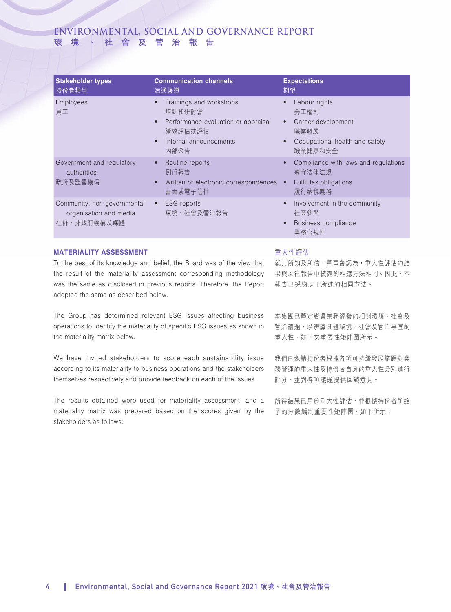| <b>Stakeholder types</b><br>持份者類型                                    | <b>Communication channels</b><br>溝通渠道                                                                                                                        | <b>Expectations</b><br>期望                                                                                                               |
|----------------------------------------------------------------------|--------------------------------------------------------------------------------------------------------------------------------------------------------------|-----------------------------------------------------------------------------------------------------------------------------------------|
| Employees<br>員工                                                      | Trainings and workshops<br>$\bullet$<br>培訓和研討會<br>Performance evaluation or appraisal<br>$\bullet$<br>績效評估或評估<br>Internal announcements<br>$\bullet$<br>內部公告 | Labour rights<br>$\bullet$<br>勞工權利<br>Career development<br>$\bullet$<br>職業發展<br>Occupational health and safety<br>$\bullet$<br>職業健康和安全 |
| Government and regulatory<br>authorities<br>政府及監管機構                  | Routine reports<br>$\bullet$<br>例行報告<br>Written or electronic correspondences •<br>$\bullet$<br>書面或電子信件                                                      | Compliance with laws and regulations<br>$\bullet$<br>遵守法律法規<br>Fulfil tax obligations<br>履行納税義務                                         |
| Community, non-governmental<br>organisation and media<br>社群、非政府機構及媒體 | <b>ESG</b> reports<br>$\bullet$<br>環境、社會及管治報告                                                                                                                | Involvement in the community<br>$\bullet$<br>社區參與<br>Business compliance<br>$\bullet$<br>業務合規性                                          |

### **MATERIALITY ASSESSMENT**

To the best of its knowledge and belief, the Board was of the view that the result of the materiality assessment corresponding methodology was the same as disclosed in previous reports. Therefore, the Report adopted the same as described below.

The Group has determined relevant ESG issues affecting business operations to identify the materiality of specific ESG issues as shown in the materiality matrix below.

We have invited stakeholders to score each sustainability issue according to its materiality to business operations and the stakeholders themselves respectively and provide feedback on each of the issues.

The results obtained were used for materiality assessment, and a materiality matrix was prepared based on the scores given by the stakeholders as follows:

### 重大性評估

就其所知及所信,董事會認為,重大性評估的結 果與以往報告中披露的相應方法相同。因此,本 報告已採納以下所述的相同方法。

本集團已釐定影響業務經營的相關環境、社會及 管治議題,以辨識具體環境、社會及管治事宜的 重大性,如下文重要性矩陣圖所示。

我們已邀請持份者根據各項可持續發展議題對業 務營運的重大性及持份者自身的重大性分別進行 評分,並對各項議題提供回饋意見。

所得結果已用於重大性評估,並根據持份者所給 予的分數編制重要性矩陣圖,如下所示: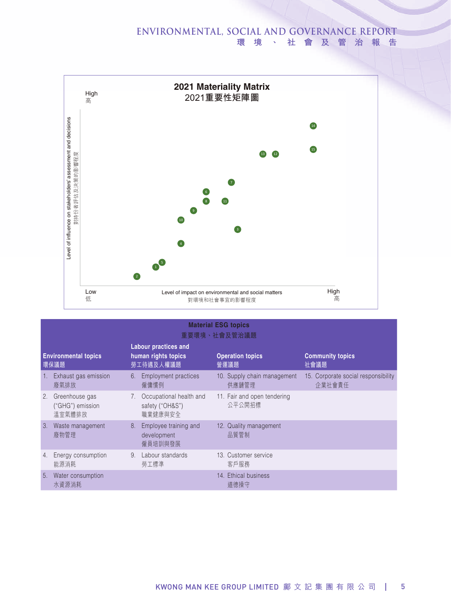

|    | <b>Material ESG topics</b><br>重要環境、社會及管治議題   |                |                                                                 |  |                                       |                                               |
|----|----------------------------------------------|----------------|-----------------------------------------------------------------|--|---------------------------------------|-----------------------------------------------|
|    | <b>Environmental topics</b><br>環保議題          |                | <b>Labour practices and</b><br>human rights topics<br>勞工待遇及人權議題 |  | <b>Operation topics</b><br>營運議題       | <b>Community topics</b><br>社會議題               |
| 1. | Exhaust gas emission<br>廢氣排放                 | 6.             | <b>Employment practices</b><br>僱傭慣例                             |  | 10. Supply chain management<br>供應鏈管理  | 15. Corporate social responsibility<br>企業社會責任 |
| 2. | Greenhouse gas<br>("GHG") emission<br>溫室氣體排放 | 7 <sup>1</sup> | Occupational health and<br>safety ("OH&S")<br>職業健康與安全           |  | 11. Fair and open tendering<br>公平公開招標 |                                               |
| 3. | Waste management<br>廢物管理                     | 8.             | Employee training and<br>development<br>僱員培訓與發展                 |  | 12. Quality management<br>品質管制        |                                               |
| 4. | Energy consumption<br>能源消耗                   | 9 <sub>1</sub> | Labour standards<br>勞工標準                                        |  | 13. Customer service<br>客戶服務          |                                               |
| 5. | Water consumption<br>水資源消耗                   |                |                                                                 |  | 14. Ethical business<br>道德操守          |                                               |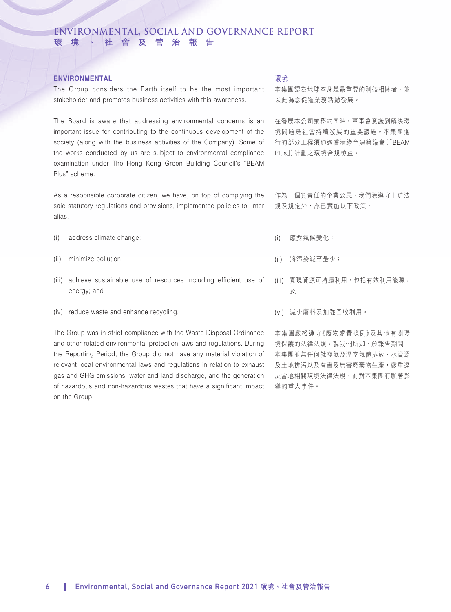### **ENVIRONMENTAL**

The Group considers the Earth itself to be the most important stakeholder and promotes business activities with this awareness.

The Board is aware that addressing environmental concerns is an important issue for contributing to the continuous development of the society (along with the business activities of the Company). Some of the works conducted by us are subject to environmental compliance examination under The Hong Kong Green Building Council's "BEAM Plus" scheme.

As a responsible corporate citizen, we have, on top of complying the said statutory regulations and provisions, implemented policies to, inter alias,

- (i) address climate change;
- (ii) minimize pollution;
- (iii) achieve sustainable use of resources including efficient use of energy; and
- (iv) reduce waste and enhance recycling.

The Group was in strict compliance with the Waste Disposal Ordinance and other related environmental protection laws and regulations. During the Reporting Period, the Group did not have any material violation of relevant local environmental laws and regulations in relation to exhaust gas and GHG emissions, water and land discharge, and the generation of hazardous and non-hazardous wastes that have a significant impact on the Group.

### 環境

本集團認為地球本身是最重要的利益相關者,並 以此為念促進業務活動發展。

在發展本公司業務的同時,董事會意識到解決環 境問題是社會持續發展的重要議題。本集團進 行的部分工程須通過香港綠色建築議會(「BEAM Plus」)計劃之環境合規檢查。

作為一個負責任的企業公民,我們除遵守上述法 規及規定外,亦已實施以下政策,

- (i) 應對氣候變化;
- (ii) 將污染減至最少;
- (iii) 實現資源可持續利用,包括有效利用能源; 及
- (vi) 減少廢料及加強回收利用。

本集團嚴格遵守《廢物處置條例》及其他有關環 境保護的法律法規。就我們所知,於報告期間, 本集團並無任何就廢氣及溫室氣體排放、水資源 及土地排污以及有害及無害廢棄物生產,嚴重違 反當地相關環境法律法規,而對本集團有顯著影 響的重大事件。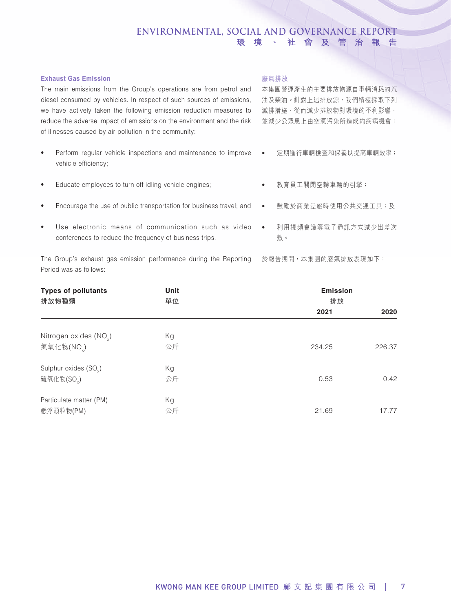### **Exhaust Gas Emission**

The main emissions from the Group's operations are from petrol and diesel consumed by vehicles. In respect of such sources of emissions, we have actively taken the following emission reduction measures to reduce the adverse impact of emissions on the environment and the risk of illnesses caused by air pollution in the community:

- Perform regular vehicle inspections and maintenance to improve vehicle efficiency;
- Educate employees to turn off idling vehicle engines;
- Encourage the use of public transportation for business travel; and
- Use electronic means of communication such as video conferences to reduce the frequency of business trips.

The Group's exhaust gas emission performance during the Reporting Period was as follows:

### 廢氣排放

本集團營運產生的主要排放物源自車輛消耗的汽 油及柴油。針對上述排放源,我們積極採取下列 減排措施,從而減少排放物對環境的不利影響, 並減少公眾患上由空氣污染所造成的疾病機會:

- 定期進行車輛檢查和保養以提高車輛效率;
- 教育員工關閉空轉車輛的引擎;
- 鼓勵於商業差旅時使用公共交通工具;及
- 利用視頻會議等電子通訊方式減少出差次 數。

於報告期間,本集團的廢氣排放表現如下:

| <b>Types of pollutants</b><br>排放物種類 | Unit<br>單位 | <b>Emission</b><br>排放 |        |
|-------------------------------------|------------|-----------------------|--------|
|                                     |            | 2021                  | 2020   |
| Nitrogen oxides (NO <sub>v</sub> )  | Kg         |                       |        |
| 氮氧化物(NO)                            | 公斤         | 234.25                | 226.37 |
| Sulphur oxides (SO <sub>v</sub> )   | Kg         |                       |        |
| 硫氧化物(SO)                            | 公斤         | 0.53                  | 0.42   |
| Particulate matter (PM)             | Кg         |                       |        |
| 懸浮顆粒物(PM)                           | 公斤         | 21.69                 | 17.77  |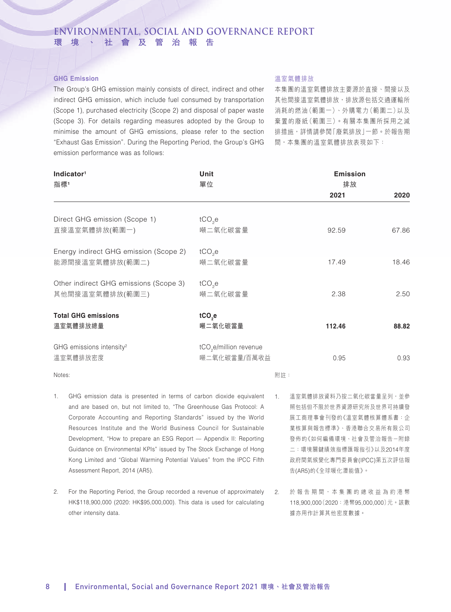### **GHG Emission**

The Group's GHG emission mainly consists of direct, indirect and other indirect GHG emission, which include fuel consumed by transportation (Scope 1), purchased electricity (Scope 2) and disposal of paper waste (Scope 3). For details regarding measures adopted by the Group to minimise the amount of GHG emissions, please refer to the section "Exhaust Gas Emission". During the Reporting Period, the Group's GHG emission performance was as follows:

### 溫室氣體排放

本集團的溫室氣體排放主要源於直接、間接以及 其他間接溫室氣體排放,排放源包括交通運輸所 消耗的燃油(範圍一)、外購電力(範圍二)以及 棄置的廢紙(範圍三)。有關本集團所採用之減 排措施,詳情請參閱「廢氣排放」一節。於報告期 間,本集團的溫室氣體排放表現如下:

| Indicator <sup>1</sup><br>指標1                  | Unit<br>單位                         | <b>Emission</b><br>排放 |       |
|------------------------------------------------|------------------------------------|-----------------------|-------|
|                                                |                                    | 2021                  | 2020  |
|                                                |                                    |                       |       |
| Direct GHG emission (Scope 1)<br>直接溫室氣體排放(範圍一) | $tCO2$ e<br>噸二氧化碳當量                | 92.59                 | 67.86 |
|                                                |                                    |                       |       |
| Energy indirect GHG emission (Scope 2)         | $tCO2$ e                           |                       |       |
| 能源間接溫室氣體排放(範圍二)                                | 噸二氧化碳當量                            | 17.49                 | 18.46 |
| Other indirect GHG emissions (Scope 3)         | $tCO2$ e                           |                       |       |
| 其他間接溫室氣體排放(範圍三)                                | 噸二氧化碳當量                            | 2.38                  | 2.50  |
|                                                |                                    |                       |       |
| <b>Total GHG emissions</b>                     | tCO <sub>2</sub> e                 |                       |       |
| 溫室氣體排放總量                                       | 噸二氧化碳當量                            | 112.46                | 88.82 |
| GHG emissions intensity <sup>2</sup>           | tCO <sub>2</sub> e/million revenue |                       |       |
| 溫室氣體排放密度                                       | 噸二氧化碳當量/百萬收益                       | 0.95                  | 0.93  |
| Notes:                                         | 附註:                                |                       |       |

- 1. GHG emission data is presented in terms of carbon dioxide equivalent 1. 溫室氣體排放資料乃按二氧化碳當量呈列,並參 and are based on, but not limited to, "The Greenhouse Gas Protocol: A Corporate Accounting and Reporting Standards" issued by the World Resources Institute and the World Business Council for Sustainable Development, "How to prepare an ESG Report — Appendix II: Reporting Guidance on Environmental KPIs" issued by The Stock Exchange of Hong Kong Limited and "Global Warming Potential Values" from the IPCC Fifth Assessment Report, 2014 (AR5).
- 2. For the Reporting Period, the Group recorded a revenue of approximately HK\$118,900,000 (2020: HK\$95,000,000). This data is used for calculating other intensity data.
- 照包括但不限於世界資源研究所及世界可持續發 展工商理事會刊發的《溫室氣體核算體系書:企 業核算與報告標準》、香港聯合交易所有限公司 發佈的《如何編備環境、社會及管治報告-附錄 二:環境關鍵績效指標匯報指引》以及2014年度 政府間氣候變化專門委員會(IPCC)第五次評估報 告(AR5)的《全球暖化潛能值》。
- 2. 於報告期間,本集團的總收益為約港幣 118,900,000(2020:港幣95,000,000)元。該數 據亦用作計算其他密度數據。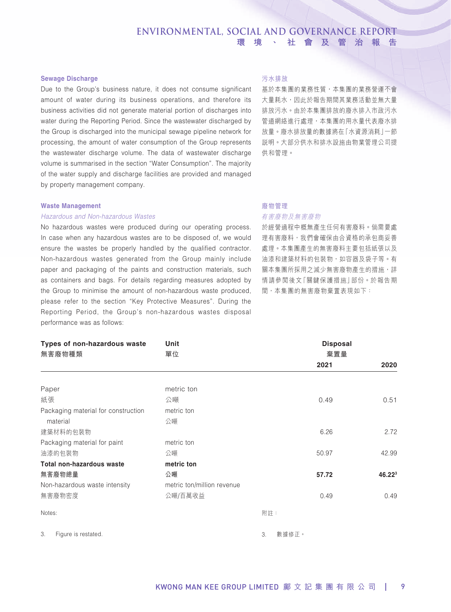### **Sewage Discharge**

Due to the Group's business nature, it does not consume significant amount of water during its business operations, and therefore its business activities did not generate material portion of discharges into water during the Reporting Period. Since the wastewater discharged by the Group is discharged into the municipal sewage pipeline network for processing, the amount of water consumption of the Group represents the wastewater discharge volume. The data of wastewater discharge volume is summarised in the section "Water Consumption". The majority of the water supply and discharge facilities are provided and managed by property management company.

### **Waste Management**

### *Hazardous and Non-hazardous Wastes*

No hazardous wastes were produced during our operating process. In case when any hazardous wastes are to be disposed of, we would ensure the wastes be properly handled by the qualified contractor. Non-hazardous wastes generated from the Group mainly include paper and packaging of the paints and construction materials, such as containers and bags. For details regarding measures adopted by the Group to minimise the amount of non-hazardous waste produced, please refer to the section "Key Protective Measures". During the Reporting Period, the Group's non-hazardous wastes disposal performance was as follows:

### 污水排放

基於本集團的業務性質,本集團的業務營運不會 大量耗水,因此於報告期間其業務活動並無大量 排放污水。由於本集團排放的廢水排入市政污水 管道網絡進行處理,本集團的用水量代表廢水排 放量。廢水排放量的數據將在「水資源消耗」一節 說明。大部分供水和排水設施由物業管理公司提 供和管理。

## 廢物管理

### 有害廢物及無害廢物

於經營過程中概無產生任何有害廢料。倘需要處 理有害廢料,我們會確保由合資格的承包商妥善 處理。本集團產生的無害廢料主要包括紙張以及 油漆和建築材料的包裝物,如容器及袋子等。有 關本集團所採用之減少無害廢物產生的措施,詳 情請參閱後文「關鍵保護措施」部份。於報告期 間,本集團的無害廢物棄置表現如下:

| Types of non-hazardous waste<br>無害廢物種類 | <b>Unit</b><br>單位          |     |       | <b>Disposal</b><br>棄置量 |                    |
|----------------------------------------|----------------------------|-----|-------|------------------------|--------------------|
|                                        |                            |     |       | 2021                   | 2020               |
|                                        |                            |     |       |                        |                    |
| Paper                                  | metric ton                 |     |       |                        |                    |
| 紙張                                     | 公噸                         |     |       | 0.49                   | 0.51               |
| Packaging material for construction    | metric ton                 |     |       |                        |                    |
| material                               | 公噸                         |     |       |                        |                    |
| 建築材料的包裝物                               |                            |     |       | 6.26                   | 2.72               |
| Packaging material for paint           | metric ton                 |     |       |                        |                    |
| 油漆的包装物                                 | 公噸                         |     |       | 50.97                  | 42.99              |
| <b>Total non-hazardous waste</b>       | metric ton                 |     |       |                        |                    |
| 無害廢物總量                                 | 公噸                         |     |       | 57.72                  | 46.22 <sup>3</sup> |
| Non-hazardous waste intensity          | metric ton/million revenue |     |       |                        |                    |
| 無害廢物密度                                 | 公噸/百萬收益                    |     |       | 0.49                   | 0.49               |
| Notes:                                 |                            | 附註: |       |                        |                    |
| 3.<br>Figure is restated.              |                            | 3.  | 數據修正。 |                        |                    |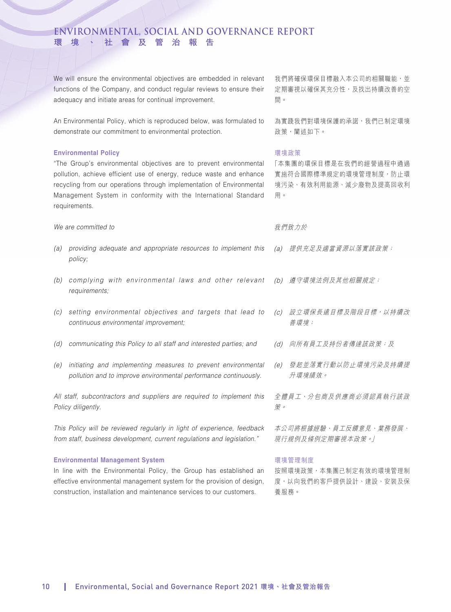We will ensure the environmental objectives are embedded in relevant functions of the Company, and conduct regular reviews to ensure their adequacy and initiate areas for continual improvement.

An Environmental Policy, which is reproduced below, was formulated to demonstrate our commitment to environmental protection.

### **Environmental Policy**

"The Group's environmental objectives are to prevent environmental pollution, achieve efficient use of energy, reduce waste and enhance recycling from our operations through implementation of Environmental Management System in conformity with the International Standard requirements.

*We are committed to*

- *(a) providing adequate and appropriate resources to implement this policy;*
- *(b) complying with environmental laws and other relevant requirements;*
- *(c) setting environmental objectives and targets that lead to continuous environmental improvement;*
- *(d) communicating this Policy to all staff and interested parties; and*
- *(e) initiating and implementing measures to prevent environmental pollution and to improve environmental performance continuously.*

*All staff, subcontractors and suppliers are required to implement this Policy diligently.*

*This Policy will be reviewed regularly in light of experience, feedback from staff, business development, current regulations and legislation."*

### **Environmental Management System**

In line with the Environmental Policy, the Group has established an effective environmental management system for the provision of design, construction, installation and maintenance services to our customers.

我們將確保環保目標融入本公司的相關職能,並 定期審視以確保其充分性,及找出持續改善的空 間。

為實踐我們對環境保護的承諾,我們已制定環境 政策,闡述如下。

### 環境政策

「本集團的環保目標是在我們的經營過程中通過 實施符合國際標準規定的環境管理制度,防止環 境污染、有效利用能源、減少廢物及提高回收利 用。

### 我們致力於

- (a) 提供充足及適當資源以落實該政策;
- (b) 遵守環境法例及其他相關規定;
- (c) 設立環保長遠目標及階段目標,以持續改 善環境;
- (d) 向所有員工及持份者傳達該政策;及
- (e) 發起並落實行動以防止環境污染及持續提 升環境績效。

全體員工、分包商及供應商必須認真執行該政 策。

本公司將根據經驗、員工反饋意見、業務發展、 現行規例及條例定期審視本政策。」

### 環境管理制度

按照環境政策,本集團已制定有效的環境管理制 度,以向我們的客戶提供設計、建設、安裝及保 養服務。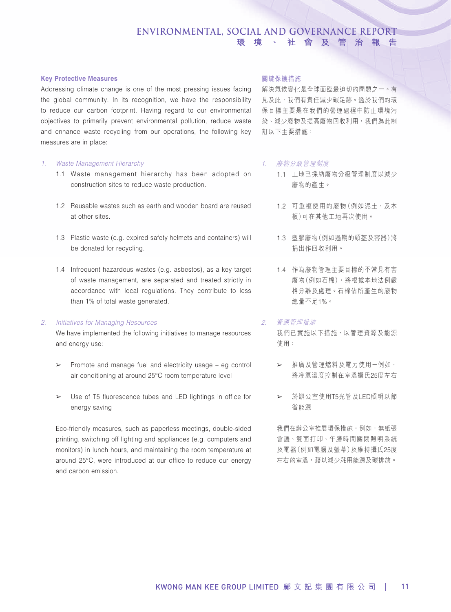### **Key Protective Measures**

Addressing climate change is one of the most pressing issues facing the global community. In its recognition, we have the responsibility to reduce our carbon footprint. Having regard to our environmental objectives to primarily prevent environmental pollution, reduce waste and enhance waste recycling from our operations, the following key measures are in place:

### *1. Waste Management Hierarchy*

- 1.1 Waste management hierarchy has been adopted on construction sites to reduce waste production.
- 1.2 Reusable wastes such as earth and wooden board are reused at other sites.
- 1.3 Plastic waste (e.g. expired safety helmets and containers) will be donated for recycling.
- 1.4 Infrequent hazardous wastes (e.g. asbestos), as a key target of waste management, are separated and treated strictly in accordance with local regulations. They contribute to less than 1% of total waste generated.

### *2. Initiatives for Managing Resources*

We have implemented the following initiatives to manage resources and energy use:

- $\geq$  Promote and manage fuel and electricity usage eg control air conditioning at around 25°C room temperature level
- ➢ Use of T5 fluorescence tubes and LED lightings in office for energy saving

Eco-friendly measures, such as paperless meetings, double-sided printing, switching off lighting and appliances (e.g. computers and monitors) in lunch hours, and maintaining the room temperature at around 25°C, were introduced at our office to reduce our energy and carbon emission.

### 關鍵保護措施

解決氣候變化是全球面臨最迫切的問題之一。有 見及此,我們有責任減少碳足跡。鑑於我們的環 保目標主要是在我們的營運過程中防止環境污 染、減少廢物及提高廢物回收利用,我們為此制 訂以下主要措施:

### 1. 廢物分級管理制度

- 1.1 工地已採納廢物分級管理制度以減少 廢物的產生。
- 1.2 可重複使用的廢物(例如泥土、及木 板)可在其他工地再次使用。
- 1.3 塑膠廢物(例如過期的頭盔及容器)將 捐出作回收利用。
- 1.4 作為廢物管理主要目標的不常見有害 廢物(例如石棉),將根據本地法例嚴 格分離及處理。石棉佔所產生的廢物 總量不足1%。

### 2. 資源管理措施

我們已實施以下措施,以管理資源及能源 使用:

- ➢ 推廣及管理燃料及電力使用-例如, 將冷氣溫度控制在室溫攝氏25度左右
- ➢ 於辦公室使用T5光管及LED照明以節 省能源

我們在辦公室推展環保措施,例如,無紙張 會議、雙面打印、午膳時間關閉照明系統 及電器(例如電腦及螢幕)及維持攝氏25度 左右的室溫,藉以減少耗用能源及碳排放。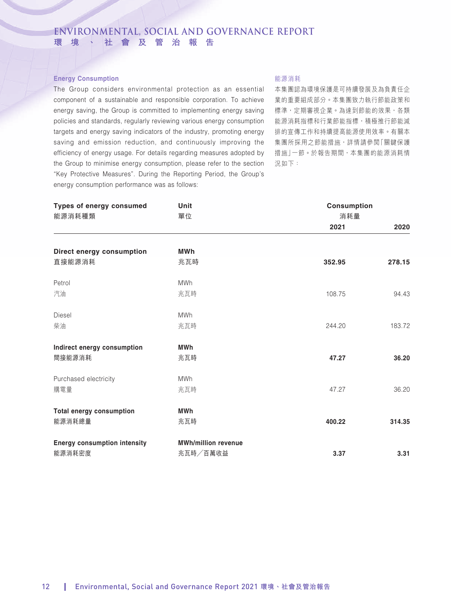### **Energy Consumption**

The Group considers environmental protection as an essential component of a sustainable and responsible corporation. To achieve energy saving, the Group is committed to implementing energy saving policies and standards, regularly reviewing various energy consumption targets and energy saving indicators of the industry, promoting energy saving and emission reduction, and continuously improving the efficiency of energy usage. For details regarding measures adopted by the Group to minimise energy consumption, please refer to the section "Key Protective Measures". During the Reporting Period, the Group's energy consumption performance was as follows:

### 能源消耗

本集團認為環境保護是可持續發展及為負責任企 業的重要組成部分。本集團致力執行節能政策和 標準,定期審視企業。為達到節能的效果,各類 能源消耗指標和行業節能指標,積極推行節能減 排的宣傳工作和持續提高能源使用效率。有關本 集團所採用之節能措施,詳情請參閱「關鍵保護 措施」一節。於報告期間,本集團的能源消耗情 況如下:

| <b>Types of energy consumed</b><br>能源消耗種類 | Unit<br>單位                 | <b>Consumption</b><br>消耗量 |        |
|-------------------------------------------|----------------------------|---------------------------|--------|
|                                           |                            | 2021                      | 2020   |
| Direct energy consumption                 | <b>MWh</b>                 |                           |        |
| 直接能源消耗                                    | 兆瓦時                        | 352.95                    | 278.15 |
| Petrol                                    | <b>MWh</b>                 |                           |        |
| 汽油                                        | 兆瓦時                        | 108.75                    | 94.43  |
| Diesel                                    | <b>MWh</b>                 |                           |        |
| 柴油                                        | 兆瓦時                        | 244.20                    | 183.72 |
| Indirect energy consumption               | <b>MWh</b>                 |                           |        |
| 間接能源消耗                                    | 兆瓦時                        | 47.27                     | 36.20  |
| Purchased electricity                     | <b>MWh</b>                 |                           |        |
| 購電量                                       | 兆瓦時                        | 47.27                     | 36.20  |
| <b>Total energy consumption</b>           | <b>MWh</b>                 |                           |        |
| 能源消耗總量                                    | 兆瓦時                        | 400.22                    | 314.35 |
| <b>Energy consumption intensity</b>       | <b>MWh/million revenue</b> |                           |        |
| 能源消耗密度                                    | 兆瓦時/百萬收益                   | 3.37                      | 3.31   |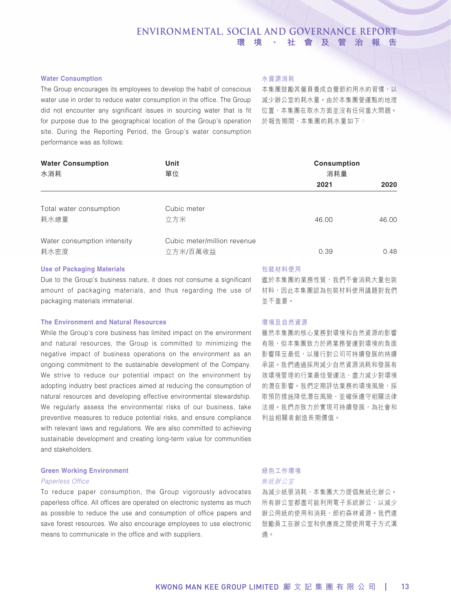### **Water Consumption**

The Group encourages its employees to develop the habit of conscious water use in order to reduce water consumption in the office. The Group did not encounter any significant issues in sourcing water that is fit for purpose due to the geographical location of the Group's operation site. During the Reporting Period, the Group's water consumption performance was as follows:

### 水資源消耗

本集團鼓勵其僱員養成自覺節約用水的習慣,以 減少辦公室的耗水量。由於本集團營運點的地理 位置,本集團在取水方面並沒有任何重大問題。 於報告期間,本集團的耗水量如下:

| <b>Water Consumption</b><br>水消耗     | Unit<br>單位                              | <b>Consumption</b><br>消耗量 |       |  |
|-------------------------------------|-----------------------------------------|---------------------------|-------|--|
|                                     |                                         | 2021                      | 2020  |  |
| Total water consumption<br>耗水總量     | Cubic meter<br>立方米                      | 46.00                     | 46.00 |  |
| Water consumption intensity<br>耗水密度 | Cubic meter/million revenue<br>立方米/百萬收益 | 0.39                      | 0.48  |  |

### **Use of Packaging Materials**

Due to the Group's business nature, it does not consume a significant amount of packaging materials, and thus regarding the use of packaging materials immaterial.

### **The Environment and Natural Resources**

While the Group's core business has limited impact on the environment and natural resources, the Group is committed to minimizing the negative impact of business operations on the environment as an ongoing commitment to the sustainable development of the Company. We strive to reduce our potential impact on the environment by adopting industry best practices aimed at reducing the consumption of natural resources and developing effective environmental stewardship. We regularly assess the environmental risks of our business, take preventive measures to reduce potential risks, and ensure compliance with relevant laws and regulations. We are also committed to achieving sustainable development and creating long-term value for communities and stakeholders.

### **Green Working Environment**

### *Paperless Office*

To reduce paper consumption, the Group vigorously advocates paperless office. All offices are operated on electronic systems as much as possible to reduce the use and consumption of office papers and save forest resources. We also encourage employees to use electronic means to communicate in the office and with suppliers.

### 包裝材料使用

鑑於本集團的業務性質,我們不會消耗大量包裝 材料,因此本集團認為包裝材料使用議題對我們 並不重要。

### 環境及自然資源

雖然本集團的核心業務對環境和自然資源的影響 有限,但本集團致力於將業務營運對環境的負面 影響降至最低,以履行對公司可持續發展的持續 承諾。我們通過採用減少自然資源消耗和發展有 效環境管理的行業最佳營運法,盡力減少對環境 的潛在影響。我們定期評估業務的環境風險,採 取預防措施降低潛在風險,並確保遵守相關法律 法規。我們亦致力於實現可持續發展,為社會和 利益相關者創造長期價值。

# 綠色工作環境

無紙辦公室

為減少紙張消耗,本集團大力提倡無紙化辦公。 所有辦公室都盡可能利用電子系統辦公,以減少 辦公用紙的使用和消耗,節約森林資源。我們還 鼓勵員工在辦公室和供應商之間使用電子方式溝 通。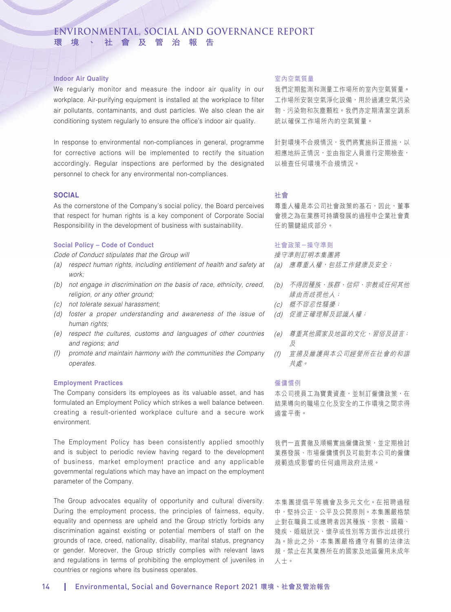### **Indoor Air Quality**

We regularly monitor and measure the indoor air quality in our workplace. Air-purifying equipment is installed at the workplace to filter air pollutants, contaminants, and dust particles. We also clean the air conditioning system regularly to ensure the office's indoor air quality.

In response to environmental non-compliances in general, programme for corrective actions will be implemented to rectify the situation accordingly. Regular inspections are performed by the designated personnel to check for any environmental non-compliances.

### **SOCIAL**

As the cornerstone of the Company's social policy, the Board perceives that respect for human rights is a key component of Corporate Social Responsibility in the development of business with sustainability.

### **Social Policy – Code of Conduct**

*Code of Conduct stipulates that the Group will*

- *(a) respect human rights, including entitlement of health and safety at work;*
- *(b) not engage in discrimination on the basis of race, ethnicity, creed, religion, or any other ground;*
- *(c) not tolerate sexual harassment;*
- *(d) foster a proper understanding and awareness of the issue of human rights;*
- *(e) respect the cultures, customs and languages of other countries and regions; and*
- *(f) promote and maintain harmony with the communities the Company operates.*

### **Employment Practices**

The Company considers its employees as its valuable asset, and has formulated an Employment Policy which strikes a well balance between. creating a result-oriented workplace culture and a secure work environment.

The Employment Policy has been consistently applied smoothly and is subject to periodic review having regard to the development of business, market employment practice and any applicable governmental regulations which may have an impact on the employment parameter of the Company.

The Group advocates equality of opportunity and cultural diversity. During the employment process, the principles of fairness, equity, equality and openness are upheld and the Group strictly forbids any discrimination against existing or potential members of staff on the grounds of race, creed, nationality, disability, marital status, pregnancy or gender. Moreover, the Group strictly complies with relevant laws and regulations in terms of prohibiting the employment of juveniles in countries or regions where its business operates.

### 室內空氣質量

我們定期監測和測量工作場所的室內空氣質量。 工作場所安裝空氣淨化設備,用於過濾空氣污染 物、污染物和灰塵顆粒。我們亦定期清潔空調系 統以確保工作場所內的空氣質量。

針對環境不合規情況,我們將實施糾正措施,以 相應地糾正情況,並由指定人員進行定期檢查, 以檢查任何環境不合規情況。

### 社會

尊重人權是本公司社會政策的基石,因此,董事 會視之為在業務可持續發展的過程中企業社會責 任的關鍵組成部分。

### 社會政策-操守準則

操守準則訂明本集團將

- (a) 應尊重人權,包括工作健康及安全;
- (b) 不得因種族、族群、信仰、宗教或任何其他 緣由而歧視他人;
- (c) 概不容忍性騷擾;
- (d) 促進正確理解及認識人權;
- (e) 尊重其他國家及地區的文化、習俗及語言; 及
- (f) 宣揚及維護與本公司經營所在社會的和諧 共處。

### 僱傭慣例

本公司視員工為寶貴資產,並制訂僱傭政策,在 結果導向的職場立化及安全的工作環境之間求得 適當平衡。

我們一直貫徹及順暢實施僱傭政策,並定期檢討 業務發展、市場僱傭慣例及可能對本公司的僱傭 規範造成影響的任何適用政府法規。

本集團提倡平等機會及多元文化。在招聘過程 中,堅持公正、公平及公開原則。本集團嚴格禁 止對在職員工或應聘者因其種族、宗教、國籍、 殘疾、婚姻狀況、懷孕或性別等方面作出歧視行 為。除此之外,本集團嚴格遵守有關的法律法 規,禁止在其業務所在的國家及地區僱用未成年 人士。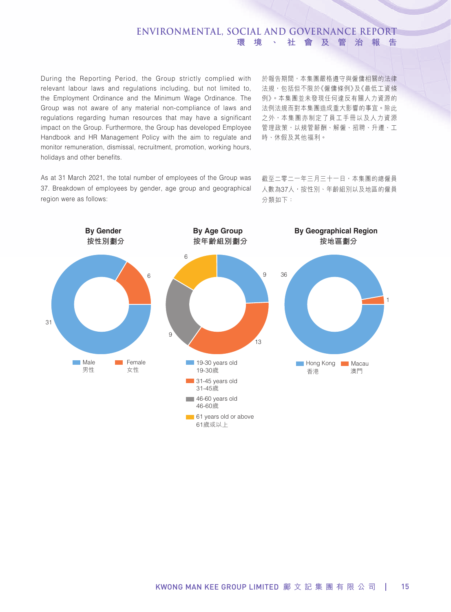During the Reporting Period, the Group strictly complied with relevant labour laws and regulations including, but not limited to, the Employment Ordinance and the Minimum Wage Ordinance. The Group was not aware of any material non-compliance of laws and regulations regarding human resources that may have a significant impact on the Group. Furthermore, the Group has developed Employee Handbook and HR Management Policy with the aim to regulate and monitor remuneration, dismissal, recruitment, promotion, working hours, holidays and other benefits.

於報告期間,本集團嚴格遵守與僱傭相關的法律 法規,包括但不限於《僱傭條例》及《最低工資條 例》。本集團並未發現任何違反有關人力資源的 法例法規而對本集團造成重大影響的事宜。除此 之外,本集團亦制定了員工手冊以及人力資源 管理政策,以規管薪酬、解僱、招聘、升遷、工 時、休假及其他福利。

As at 31 March 2021, the total number of employees of the Group was 37. Breakdown of employees by gender, age group and geographical region were as follows:

截至二零二一年三月三十一日,本集團的總僱員 人數為37人,按性別、年齡組別以及地區的僱員 分類如下:

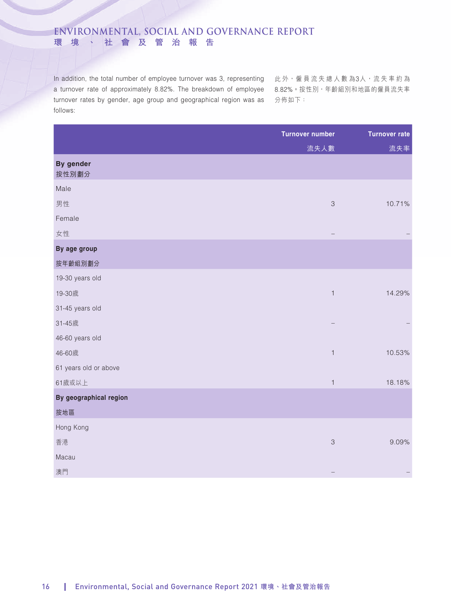In addition, the total number of employee turnover was 3, representing 此外 <sup>,</sup>僱員流失總人數為3人 <sup>,</sup>流失率約為 a turnover rate of approximately 8.82%. The breakdown of employee 8.82%。按性別,年齡組別和地區的僱員流失率 turnover rates by gender, age group and geographical region was as 分佈如下: follows:

|                           | <b>Turnover number</b>    | <b>Turnover rate</b> |
|---------------------------|---------------------------|----------------------|
|                           | 流失人數                      | 流失率                  |
| <b>By gender</b><br>按性別劃分 |                           |                      |
| Male                      |                           |                      |
| 男性                        | $\ensuremath{\mathsf{3}}$ | 10.71%               |
| Female                    |                           |                      |
| 女性                        |                           |                      |
| By age group              |                           |                      |
| 按年齡組別劃分                   |                           |                      |
| 19-30 years old           |                           |                      |
| 19-30歲                    | $\mathbf 1$               | 14.29%               |
| 31-45 years old           |                           |                      |
| 31-45歲                    |                           |                      |
| 46-60 years old           |                           |                      |
| 46-60歲                    | $\mathbbm{1}$             | 10.53%               |
| 61 years old or above     |                           |                      |
| 61歲或以上                    | $\mathbf{1}$              | 18.18%               |
| By geographical region    |                           |                      |
| 按地區                       |                           |                      |
| Hong Kong                 |                           |                      |
| 香港                        | $\ensuremath{\mathsf{3}}$ | 9.09%                |
| Macau                     |                           |                      |
| 澳門                        |                           |                      |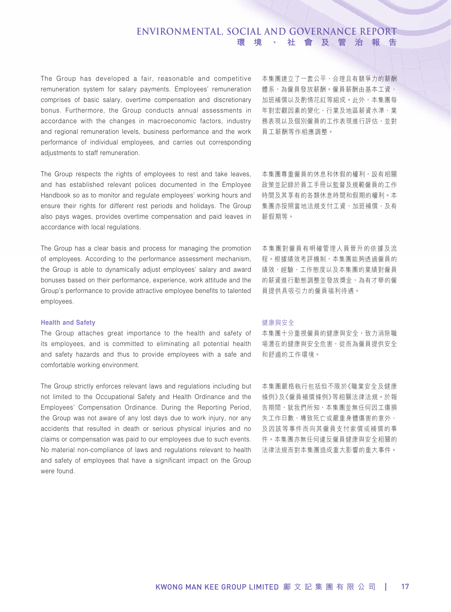The Group has developed a fair, reasonable and competitive remuneration system for salary payments. Employees' remuneration comprises of basic salary, overtime compensation and discretionary bonus. Furthermore, the Group conducts annual assessments in accordance with the changes in macroeconomic factors, industry and regional remuneration levels, business performance and the work performance of individual employees, and carries out corresponding adjustments to staff remuneration.

The Group respects the rights of employees to rest and take leaves, and has established relevant polices documented in the Employee Handbook so as to monitor and regulate employees' working hours and ensure their rights for different rest periods and holidays. The Group also pays wages, provides overtime compensation and paid leaves in accordance with local regulations.

The Group has a clear basis and process for managing the promotion of employees. According to the performance assessment mechanism, the Group is able to dynamically adjust employees' salary and award bonuses based on their performance, experience, work attitude and the Group's performance to provide attractive employee benefits to talented employees.

### **Health and Safety**

The Group attaches great importance to the health and safety of its employees, and is committed to eliminating all potential health and safety hazards and thus to provide employees with a safe and comfortable working environment.

The Group strictly enforces relevant laws and regulations including but not limited to the Occupational Safety and Health Ordinance and the Employees' Compensation Ordinance. During the Reporting Period, the Group was not aware of any lost days due to work injury, nor any accidents that resulted in death or serious physical injuries and no claims or compensation was paid to our employees due to such events. No material non-compliance of laws and regulations relevant to health and safety of employees that have a significant impact on the Group were found.

本集團建立了一套公平、合理且有競爭力的薪酬 體系,為僱員發放薪酬。僱員薪酬由基本工資、 加班補償以及酌情花紅等組成。此外,本集團每 年對宏觀因素的變化、行業及地區薪資水準、業 務表現以及個別僱員的工作表現進行評估,並對 員工薪酬等作相應調整。

本集團尊重僱員的休息和休假的權利,設有相關 政策並記錄於員工手冊以監督及規範僱員的工作 時間及其享有的各類休息時間和假期的權利。本 集團亦按照當地法規支付工資、加班補償、及有 薪假期等。

本集團對僱員有明確管理人員晉升的依據及流 程。根據績效考評機制,本集團能夠透過僱員的 績效、經驗、工作態度以及本集團的業績對僱員 的薪資進行動態調整並發放獎金,為有才華的僱 員提供具吸引力的僱員福利待遇。

### 健康與安全

本集團十分重視僱員的健康與安全,致力消除職 場潛在的健康與安全危害,從而為僱員提供安全 和舒適的工作環境。

本集團嚴格執行包括但不限於《職業安全及健康 條例》及《僱員補償條例》等相關法律法規。於報 告期間,就我們所知,本集團並無任何因工傷損 失工作日數、導致死亡或嚴重身體傷害的意外、 及因該等事件而向其僱員支付索償或補償的事 件。本集團亦無任何違反僱員健康與安全相關的 法律法規而對本集團造成重大影響的重大事件。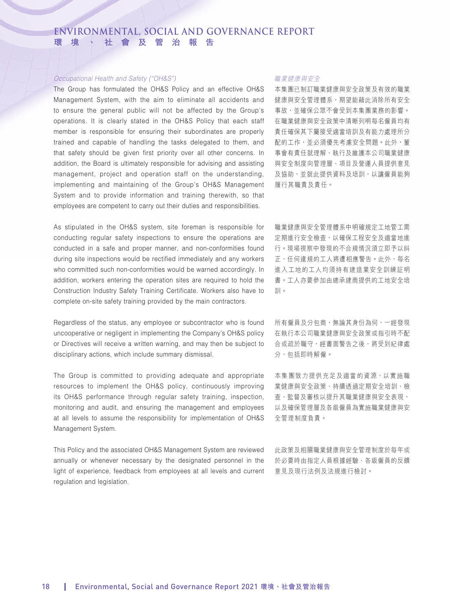### *Occupational Health and Safety ("OH&S")*

The Group has formulated the OH&S Policy and an effective OH&S Management System, with the aim to eliminate all accidents and to ensure the general public will not be affected by the Group's operations. It is clearly stated in the OH&S Policy that each staff member is responsible for ensuring their subordinates are properly trained and capable of handling the tasks delegated to them, and that safety should be given first priority over all other concerns. In addition, the Board is ultimately responsible for advising and assisting management, project and operation staff on the understanding, implementing and maintaining of the Group's OH&S Management System and to provide information and training therewith, so that employees are competent to carry out their duties and responsibilities.

As stipulated in the OH&S system, site foreman is responsible for conducting regular safety inspections to ensure the operations are conducted in a safe and proper manner, and non-conformities found during site inspections would be rectified immediately and any workers who committed such non-conformities would be warned accordingly. In addition, workers entering the operation sites are required to hold the Construction Industry Safety Training Certificate. Workers also have to complete on-site safety training provided by the main contractors.

Regardless of the status, any employee or subcontractor who is found uncooperative or negligent in implementing the Company's OH&S policy or Directives will receive a written warning, and may then be subject to disciplinary actions, which include summary dismissal.

The Group is committed to providing adequate and appropriate resources to implement the OH&S policy, continuously improving its OH&S performance through regular safety training, inspection, monitoring and audit, and ensuring the management and employees at all levels to assume the responsibility for implementation of OH&S Management System.

This Policy and the associated OH&S Management System are reviewed annually or whenever necessary by the designated personnel in the light of experience, feedback from employees at all levels and current regulation and legislation.

### 職業健康與安全

本集團已制訂職業健康與安全政策及有效的職業 健康與安全管理體系,期望能藉此消除所有安全 事故,並確保公眾不會受到本集團業務的影響。 在職業健康與安全政策中清晰列明每名僱員均有 責任確保其下屬接受適當培訓及有能力處理所分 配的工作,並必須優先考慮安全問題。此外,董 事會有責任就理解、執行及維護本公司職業健康 與安全制度向管理層、項目及營運人員提供意見 及協助,並就此提供資料及培訓,以讓僱員能夠 履行其職責及責任。

職業健康與安全管理體系中明確規定工地管工需 定期進行安全檢查,以確保工程安全及適當地進 行。現場視察中發現的不合規情況須立即予以糾 正,任何違規的工人將遭相應警告。此外,每名 進入工地的工人均須持有建造業安全訓練証明 書。工人亦要參加由總承建商提供的工地安全培 訓。

所有僱員及分包商,無論其身份為何,一經發現 在執行本公司職業健康與安全政策或指引時不配 合或疏於職守,經書面警告之後,將受到紀律處 分,包括即時解僱。

本集團致力提供充足及適當的資源,以實施職 業健康與安全政策、持續透過定期安全培訓、檢 查、監督及審核以提升其職業健康與安全表現, 以及確保管理層及各級僱員為實施職業健康與安 全管理制度負責。

此政策及相關職業健康與安全管理制度於每年或 於必要時由指定人員根據經驗、各級僱員的反饋 意見及現行法例及法規進行檢討。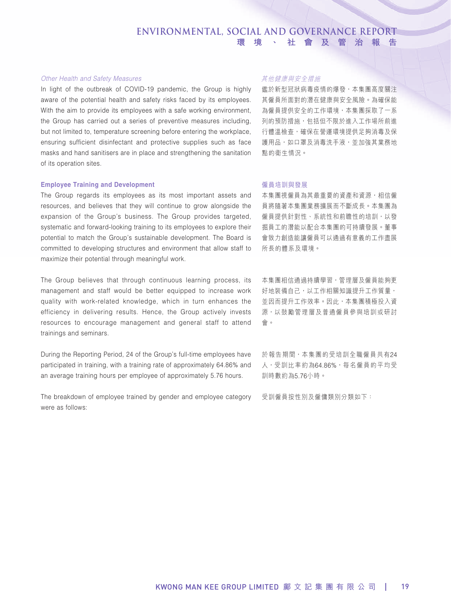### *Other Health and Safety Measures*

In light of the outbreak of COVID-19 pandemic, the Group is highly aware of the potential health and safety risks faced by its employees. With the aim to provide its employees with a safe working environment, the Group has carried out a series of preventive measures including, but not limited to, temperature screening before entering the workplace, ensuring sufficient disinfectant and protective supplies such as face masks and hand sanitisers are in place and strengthening the sanitation of its operation sites.

### **Employee Training and Development**

The Group regards its employees as its most important assets and resources, and believes that they will continue to grow alongside the expansion of the Group's business. The Group provides targeted, systematic and forward-looking training to its employees to explore their potential to match the Group's sustainable development. The Board is committed to developing structures and environment that allow staff to maximize their potential through meaningful work.

The Group believes that through continuous learning process, its management and staff would be better equipped to increase work quality with work-related knowledge, which in turn enhances the efficiency in delivering results. Hence, the Group actively invests resources to encourage management and general staff to attend trainings and seminars.

During the Reporting Period, 24 of the Group's full-time employees have participated in training, with a training rate of approximately 64.86% and an average training hours per employee of approximately 5.76 hours.

The breakdown of employee trained by gender and employee category were as follows:

### 其他健康與安全措施

鑑於新型冠狀病毒疫情的爆發,本集團高度關注 其僱員所面對的潛在健康與安全風險。為確保能 為僱員提供安全的工作環境,本集團採取了一系 列的預防措施,包括但不限於進入工作場所前進 行體溫檢查,確保在營運環境提供足夠消毒及保 護用品,如口罩及消毒洗手液,並加強其業務地 點的衛生情況。

### 僱員培訓與發展

本集團視僱員為其最重要的資產和資源,相信僱 員將隨著本集團業務擴展而不斷成長。本集團為 僱員提供針對性、系統性和前瞻性的培訓,以發 掘員工的潛能以配合本集團的可持續發展。董事 會致力創造能讓僱員可以通過有意義的工作盡展 所長的體系及環境。

本集團相信通過持續學習,管理層及僱員能夠更 好地裝備自己,以工作相關知識提升工作質量, 並因而提升工作效率。因此,本集團積極投入資 源,以鼓勵管理層及普通僱員參與培訓或研討 會。

於報告期間,本集團的受培訓全職僱員共有24 人,受訓比率約為64.86%,每名僱員的平均受 訓時數約為5.76小時。

受訓僱員按性別及僱傭類別分類如下: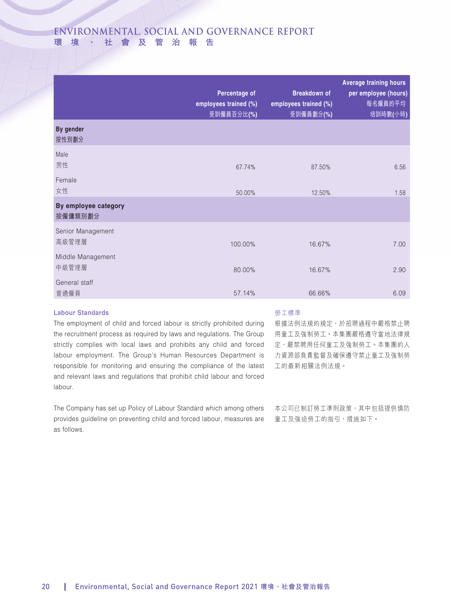|                                 | Percentage of<br>employees trained (%)<br>受訓僱員百分比(%) | <b>Breakdown of</b><br>employees trained (%)<br>受訓僱員劃分(%) | <b>Average training hours</b><br>per employee (hours)<br>每名僱員的平均<br>培訓時數(小時) |
|---------------------------------|------------------------------------------------------|-----------------------------------------------------------|------------------------------------------------------------------------------|
| By gender<br>按性別劃分              |                                                      |                                                           |                                                                              |
| Male<br>男性                      | 67.74%                                               | 87.50%                                                    | 6.56                                                                         |
| Female<br>女性                    | 50.00%                                               | 12.50%                                                    | 1.58                                                                         |
| By employee category<br>按僱傭類別劃分 |                                                      |                                                           |                                                                              |
| Senior Management<br>高級管理層      | 100.00%                                              | 16.67%                                                    | 7.00                                                                         |
| Middle Management<br>中級管理層      | 80.00%                                               | 16.67%                                                    | 2.90                                                                         |
| General staff<br>普通僱員           | 57.14%                                               | 66.66%                                                    | 6.09                                                                         |

### **Labour Standards**

### 勞工標準

The employment of child and forced labour is strictly prohibited during the recruitment process as required by laws and regulations. The Group strictly complies with local laws and prohibits any child and forced labour employment. The Group's Human Resources Department is responsible for monitoring and ensuring the compliance of the latest and relevant laws and regulations that prohibit child labour and forced labour.

The Company has set up Policy of Labour Standard which among others provides guideline on preventing child and forced labour, measures are as follows.

根據法例法規的規定,於招聘過程中嚴格禁止聘 用童工及強制勞工。本集團嚴格遵守當地法律規 定,嚴禁聘用任何童工及強制勞工。本集團的人 力資源部負責監督及確保遵守禁止童工及強制勞 工的最新相關法例法規。

本公司已制訂勞工準則政策,其中包括提供慎防 童工及強迫勞工的指引,措施如下。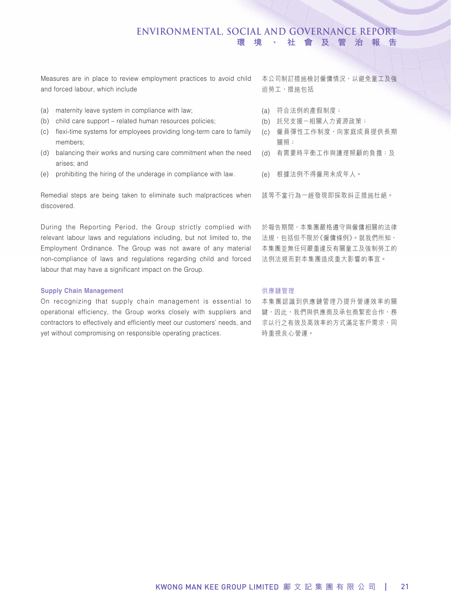Measures are in place to review employment practices to avoid child 本公司制訂措施檢討僱傭情況,以避免童工及強 and forced labour, which include

- (a) maternity leave system in compliance with law;
- (b) child care support related human resources policies;
- (c) flexi-time systems for employees providing long-term care to family members;
- (d) balancing their works and nursing care commitment when the need arises; and
- (e) prohibiting the hiring of the underage in compliance with law.

Remedial steps are being taken to eliminate such malpractices when discovered.

During the Reporting Period, the Group strictly complied with relevant labour laws and regulations including, but not limited to, the Employment Ordinance. The Group was not aware of any material non-compliance of laws and regulations regarding child and forced labour that may have a significant impact on the Group.

### **Supply Chain Management**

On recognizing that supply chain management is essential to operational efficiency, the Group works closely with suppliers and contractors to effectively and efficiently meet our customers' needs, and yet without compromising on responsible operating practices.

迫勞工,措施包括

- (a) 符合法例的產假制度;
- (b) 託兒支援-相關人力資源政策;
- (c) 僱員彈性工作制度,向家庭成員提供長期 關照;
- (d) 有需要時平衡工作與護理照顧的負擔;及
- (e) 根據法例不得僱用未成年人。

該等不當行為一經發現即採取糾正措施杜絕。

於報告期間,本集團嚴格遵守與僱傭相關的法律 法規,包括但不限於《僱傭條例》。就我們所知, 本集團並無任何嚴重違反有關童工及強制勞工的 法例法規而對本集團造成重大影響的事宜。

### 供應鏈管理

本集團認識到供應鏈管理乃提升營運效率的關 鍵,因此,我們與供應商及承包商緊密合作,務 求以行之有效及高效率的方式滿足客戶需求,同 時重視良心營運。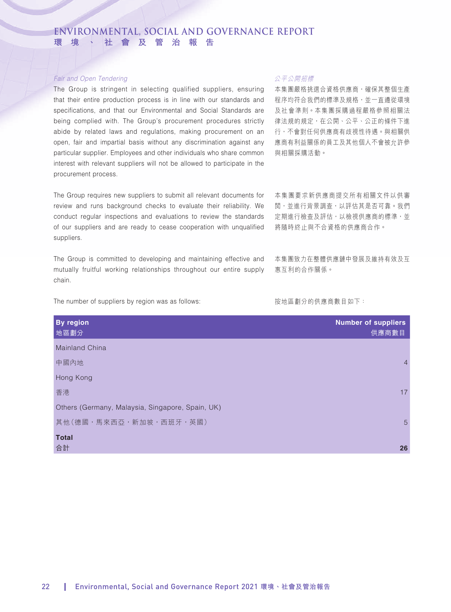### *Fair and Open Tendering*

The Group is stringent in selecting qualified suppliers, ensuring that their entire production process is in line with our standards and specifications, and that our Environmental and Social Standards are being complied with. The Group's procurement procedures strictly abide by related laws and regulations, making procurement on an open, fair and impartial basis without any discrimination against any particular supplier. Employees and other individuals who share common interest with relevant suppliers will not be allowed to participate in the procurement process.

The Group requires new suppliers to submit all relevant documents for review and runs background checks to evaluate their reliability. We conduct regular inspections and evaluations to review the standards of our suppliers and are ready to cease cooperation with unqualified suppliers.

The Group is committed to developing and maintaining effective and mutually fruitful working relationships throughout our entire supply chain.

The number of suppliers by region was as follows:

### 公平公開招標

本集團嚴格挑選合資格供應商,確保其整個生產 程序均符合我們的標準及規格,並一直遵從環境 及社會準則。本集團採購過程嚴格參照相關法 律法規的規定,在公開、公平、公正的條件下進 行,不會對任何供應商有歧視性待遇。與相關供 應商有利益關係的員工及其他個人不會被允許參 與相關採購活動。

本集團要求新供應商提交所有相關文件以供審 閱,並進行背景調查,以評估其是否可靠。我們 定期進行檢查及評估,以檢視供應商的標準,並 將隨時終止與不合資格的供應商合作。

本集團致力在整體供應鏈中發展及維持有效及互 惠互利的合作關係。

### 按地區劃分的供應商數目如下:

| <b>By region</b><br>地區劃分                         | <b>Number of suppliers</b><br>供應商數目 |
|--------------------------------------------------|-------------------------------------|
| <b>Mainland China</b>                            |                                     |
| 中國內地                                             | $\overline{4}$                      |
| Hong Kong                                        |                                     |
| 香港                                               | 17                                  |
| Others (Germany, Malaysia, Singapore, Spain, UK) |                                     |
| 其他(德國,馬來西亞,新加坡,西班牙,英國)                           | $5\overline{)}$                     |
| <b>Total</b>                                     |                                     |
| 合計                                               | 26                                  |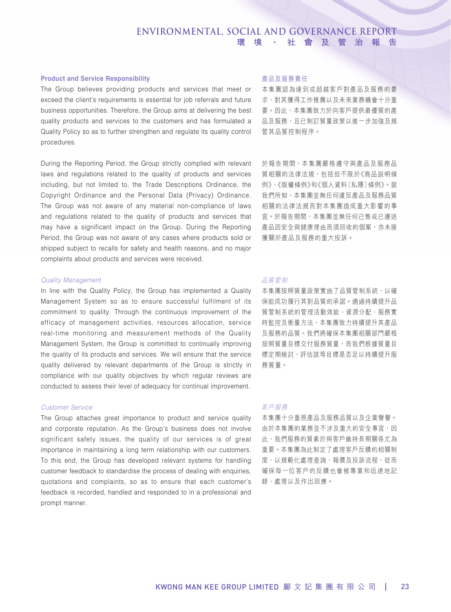### **Product and Service Responsibility**

The Group believes providing products and services that meet or exceed the client's requirements is essential for job referrals and future business opportunities. Therefore, the Group aims at delivering the best quality products and services to the customers and has formulated a Quality Policy so as to further strengthen and regulate its quality control procedures.

During the Reporting Period, the Group strictly complied with relevant laws and regulations related to the quality of products and services including, but not limited to, the Trade Descriptions Ordinance, the Copyright Ordinance and the Personal Data (Privacy) Ordinance. The Group was not aware of any material non-compliance of laws and regulations related to the quality of products and services that may have a significant impact on the Group. During the Reporting Period, the Group was not aware of any cases where products sold or shipped subject to recalls for safety and health reasons, and no major complaints about products and services were received.

### *Quality Management*

In line with the Quality Policy, the Group has implemented a Quality Management System so as to ensure successful fulfilment of its commitment to quality. Through the continuous improvement of the efficacy of management activities, resources allocation, service real-time monitoring and measurement methods of the Quality Management System, the Group is committed to continually improving the quality of its products and services. We will ensure that the service quality delivered by relevant departments of the Group is strictly in compliance with our quality objectives by which regular reviews are conducted to assess their level of adequacy for continual improvement.

### *Customer Service*

The Group attaches great importance to product and service quality and corporate reputation. As the Group's business does not involve significant safety issues, the quality of our services is of great importance in maintaining a long term relationship with our customers. To this end, the Group has developed relevant systems for handling customer feedback to standardise the process of dealing with enquiries, quotations and complaints, so as to ensure that each customer's feedback is recorded, handled and responded to in a professional and prompt manner.

### 產品及服務責任

本集團認為達到或超越客戶對產品及服務的要 求,對其獲得工作推薦以及未來業務機會十分重 要。因此,本集團致力於向客戶提供最優質的產 品及服務,且已制訂質量政策以進一步加強及規 管其品質控制程序。

於報告期間,本集團嚴格遵守與產品及服務品 質相關的法律法規,包括但不限於《商品説明條 例》、《版權條例》和《個人資料(私隱)條例》。就 我們所知,本集團並無任何違反產品及服務品質 相關的法律法規而對本集團造成重大影響的事 宜。於報告期間,本集團並無任何已售或已運送 產品因安全與健康理由而須回收的個案,亦未接 獲關於產品及服務的重大投訴。

### 品質管制

本集團按照質量政策實施了品質管制系統,以確 保能成功履行其對品質的承諾。通過持續提升品 質管制系統的管理活動效能、資源分配、服務實 時監控及衡量方法,本集團致力持續提升其產品 及服務的品質。我們將確保本集團相關部門嚴格 按照質量目標交付服務質量,而我們根據質量目 標定期檢討,評估該等目標是否足以持續提升服 務質量。

### 客戶服務

本集團十分重視產品及服務品質以及企業聲譽。 由於本集團的業務並不涉及重大的安全事宜,因 此,我們服務的質素於與客戶維持長期關係尤為 重要。本集團為此制定了處理客戶反饋的相關制 度,以規範化處理查詢、報價及投訴流程,從而 確保每一位客戶的反饋也會被專業和迅速地記 錄、處理以及作出回應。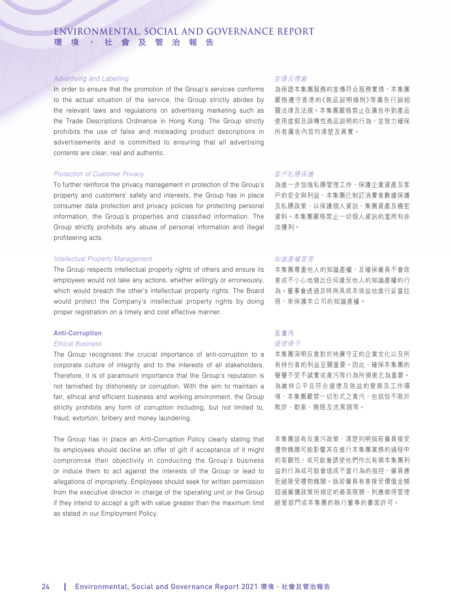### *Advertising and Labelling*

In order to ensure that the promotion of the Group's services conforms to the actual situation of the service, the Group strictly abides by the relevant laws and regulations on advertising marketing such as the Trade Descriptions Ordinance in Hong Kong. The Group strictly prohibits the use of false and misleading product descriptions in advertisements and is committed to ensuring that all advertising contents are clear, real and authentic.

### *Protection of Customer Privacy*

To further reinforce the privacy management in protection of the Group's property and customers' safety and interests, the Group has in place consumer data protection and privacy policies for protecting personal information, the Group's properties and classified information. The Group strictly prohibits any abuse of personal information and illegal profiteering acts.

### *Intellectual Property Management*

The Group respects intellectual property rights of others and ensure its employees would not take any actions, whether willingly or erroneously, which would breach the other's intellectual property rights. The Board would protect the Company's intellectual property rights by doing proper registration on a timely and cost effective manner.

### **Anti-Corruption**

### *Ethical Business*

The Group recognises the crucial importance of anti-corruption to a corporate culture of integrity and to the interests of all stakeholders. Therefore, it is of paramount importance that the Group's reputation is not tarnished by dishonesty or corruption. With the aim to maintain a fair, ethical and efficient business and working environment, the Group strictly prohibits any form of corruption including, but not limited to, fraud, extortion, bribery and money laundering.

The Group has in place an Anti-Corruption Policy clearly stating that its employees should decline an offer of gift if acceptance of it might compromise their objectivity in conducting the Group's business or induce them to act against the interests of the Group or lead to allegations of impropriety. Employees should seek for written permission from the executive director in charge of the operating unit or the Group if they intend to accept a gift with value greater than the maximum limit as stated in our Employment Policy.

### 宣傳及標籤

為保證本集團服務的宣傳符合服務實情,本集團 嚴格遵守香港的《商品說明條例》等廣告行銷相 關法律及法規。本集團嚴格禁止在廣告中對產品 使用虛假及誤導性商品説明的行為,並致力確保 所有廣告內容均清楚及真實。

### 客戶私隱保護

為進一步加強私隱管理工作,保護企業資產及客 戶的安全與利益,本集團已制訂消費者數據保護 及私隱政策,以保護個人資訊、集團資產及機密 資料。本集團嚴格禁止一切個人資訊的濫用和非 法獲利。

### 知識產權管理

本集團尊重他人的知識產權,且確保僱員不會故 意或不小心地做出任何違反他人的知識產權的行 為。董事會透過及時與具成本效益地進行妥當註 冊,來保護本公司的知識產權。

# 反貪污

道德操守

本集團深明反貪對於持廉守正的企業文化以及所 有持份者的利益至關重要。因此,確保本集團的 聲譽不受不誠實或貪污等行為所損害尤為重要。 為維持公平且符合道德及效益的營商及工作環 境,本集團嚴禁一切形式之貪污,包括但不限於 欺詐、勒索、賄賂及洗黑錢等。

本集團設有反貪污政策,清楚列明倘若僱員接受 禮物餽贈可能影響其在進行本集團業務的過程中 的客觀性,或可能會誘使他們作出有損本集團利 益的行為或可能會造成不當行為的指控,僱員應 拒絕接受禮物餽贈。倘若僱員有意接受價值金額 超過僱傭政策所規定的最高限額,則應徵得管理 經營部門或本集團的執行董事的書面許可。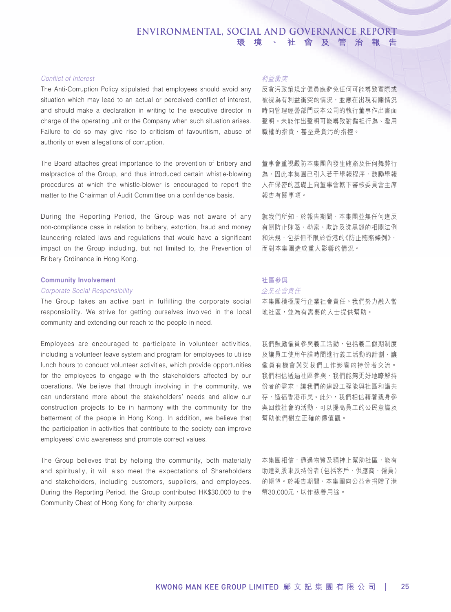### *Conflict of Interest*

The Anti-Corruption Policy stipulated that employees should avoid any situation which may lead to an actual or perceived conflict of interest, and should make a declaration in writing to the executive director in charge of the operating unit or the Company when such situation arises. Failure to do so may give rise to criticism of favouritism, abuse of authority or even allegations of corruption.

The Board attaches great importance to the prevention of bribery and malpractice of the Group, and thus introduced certain whistle-blowing procedures at which the whistle-blower is encouraged to report the matter to the Chairman of Audit Committee on a confidence basis.

During the Reporting Period, the Group was not aware of any non-compliance case in relation to bribery, extortion, fraud and money laundering related laws and regulations that would have a significant impact on the Group including, but not limited to, the Prevention of Bribery Ordinance in Hong Kong.

### **Community Involvement**

### *Corporate Social Responsibility*

The Group takes an active part in fulfilling the corporate social responsibility. We strive for getting ourselves involved in the local community and extending our reach to the people in need.

Employees are encouraged to participate in volunteer activities, including a volunteer leave system and program for employees to utilise lunch hours to conduct volunteer activities, which provide opportunities for the employees to engage with the stakeholders affected by our operations. We believe that through involving in the community, we can understand more about the stakeholders' needs and allow our construction projects to be in harmony with the community for the betterment of the people in Hong Kong. In addition, we believe that the participation in activities that contribute to the society can improve employees' civic awareness and promote correct values.

The Group believes that by helping the community, both materially and spiritually, it will also meet the expectations of Shareholders and stakeholders, including customers, suppliers, and employees. During the Reporting Period, the Group contributed HK\$30,000 to the Community Chest of Hong Kong for charity purpose.

### 利益衝突

反貪污政策規定僱員應避免任何可能導致實際或 被視為有利益衝突的情況,並應在出現有關情況 時向管理經營部門或本公司的執行董事作出書面 聲明。未能作出聲明可能導致對偏袒行為、濫用 職權的指責,甚至是貪污的指控。

董事會重視嚴防本集團內發生賄賂及任何舞弊行 為,因此本集團已引入若干舉報程序,鼓勵舉報 人在保密的基礎上向董事會轄下審核委員會主席 報告有關事項。

就我們所知,於報告期間,本集團並無任何違反 有關防止賄賂、勒索、欺詐及洗黑錢的相關法例 和法規,包括但不限於香港的《防止賄賂條例》, 而對本集團造成重大影響的情況。

### 社區參與

### 企業社會責任

本集團積極履行企業社會責任。我們努力融入當 地社區,並為有需要的人士提供幫助。

我們鼓勵僱員參與義工活動,包括義工假期制度 及讓員工使用午膳時間進行義工活動的計劃,讓 僱員有機會與受我們工作影響的持份者交流。 我們相信透過社區參與,我們能夠更好地瞭解持 份者的需求,讓我們的建設工程能與社區和諧共 存,造福香港市民。此外,我們相信藉著親身參 與回饋社會的活動,可以提高員工的公民意識及 幫助他們樹立正確的價值觀。

本集團相信,通過物質及精神上幫助社區,能有 助達到股東及持份者(包括客戶、供應商、僱員) 的期望。於報告期間,本集團向公益金捐贈了港 幣30,000元,以作慈善用途。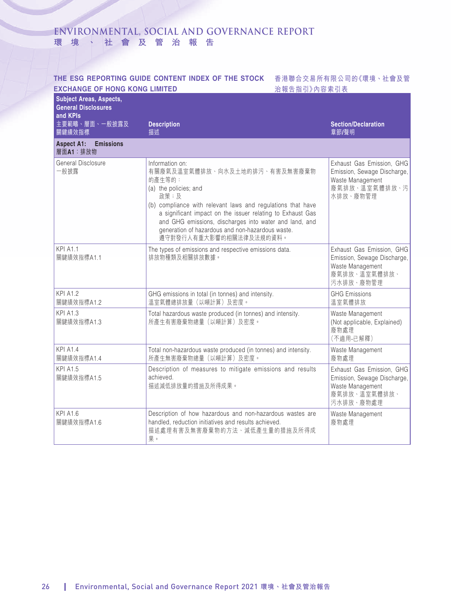### THE ESG REPORTING GUIDE CONTENT INDEX OF THE STOCK 香港聯合交易所有限公司的《環境丶社會及管 **EXCHANGE OF HONG KONG LIMITED**

治報告指引》內容索引表

| <b>Subject Areas, Aspects,</b><br><b>General Disclosures</b><br>and KPIs |                                                                                                                                                                                                                                                                                                                                                                   |                                                                                                           |
|--------------------------------------------------------------------------|-------------------------------------------------------------------------------------------------------------------------------------------------------------------------------------------------------------------------------------------------------------------------------------------------------------------------------------------------------------------|-----------------------------------------------------------------------------------------------------------|
| 主要範疇、層面、一般披露及<br>關鍵績效指標                                                  | <b>Description</b><br>描述                                                                                                                                                                                                                                                                                                                                          | <b>Section/Declaration</b><br>章節/聲明                                                                       |
| <b>Emissions</b><br><b>Aspect A1:</b><br>層面A1: 排放物                       |                                                                                                                                                                                                                                                                                                                                                                   |                                                                                                           |
| General Disclosure<br>一般披露                                               | Information on:<br>有關廢氣及溫室氣體排放、向水及土地的排污、有害及無害廢棄物<br>的產生等的:<br>(a) the policies; and<br>政策;及<br>(b) compliance with relevant laws and regulations that have<br>a significant impact on the issuer relating to Exhaust Gas<br>and GHG emissions, discharges into water and land, and<br>generation of hazardous and non-hazardous waste.<br>遵守對發行人有重大影響的相關法律及法規的資料。 | Exhaust Gas Emission, GHG<br>Emission, Sewage Discharge,<br>Waste Management<br>廢氣排放、溫室氣體排放、污<br>水排放、廢物管理 |
| <b>KPI A1.1</b><br>關鍵績效指標A1.1                                            | The types of emissions and respective emissions data.<br>排放物種類及相關排放數據。                                                                                                                                                                                                                                                                                            | Exhaust Gas Emission, GHG<br>Emission, Sewage Discharge,<br>Waste Management<br>廢氣排放、溫室氣體排放、<br>污水排放、廢物管理 |
| <b>KPI A1.2</b><br>關鍵績效指標A1.2                                            | GHG emissions in total (in tonnes) and intensity.<br>溫室氣體總排放量(以噸計算)及密度。                                                                                                                                                                                                                                                                                           | <b>GHG Emissions</b><br>溫室氣體排放                                                                            |
| <b>KPI A1.3</b><br>關鍵績效指標A1.3                                            | Total hazardous waste produced (in tonnes) and intensity.<br>所產生有害廢棄物總量(以噸計算)及密度。                                                                                                                                                                                                                                                                                 | Waste Management<br>(Not applicable, Explained)<br>廢物處理<br>(不滴用-已解釋)                                      |
| <b>KPI A1.4</b><br>關鍵績效指標A1.4                                            | Total non-hazardous waste produced (in tonnes) and intensity.<br>所產生無害廢棄物總量(以噸計算)及密度。                                                                                                                                                                                                                                                                             | Waste Management<br>廢物處理                                                                                  |
| <b>KPI A1.5</b><br>關鍵績效指標A1.5                                            | Description of measures to mitigate emissions and results<br>achieved.<br>描述減低排放量的措施及所得成果。                                                                                                                                                                                                                                                                        | Exhaust Gas Emission, GHG<br>Emission, Sewage Discharge,<br>Waste Management<br>廢氣排放、溫室氣體排放、<br>污水排放、廢物處理 |
| <b>KPI A1.6</b><br>關鍵績效指標A1.6                                            | Description of how hazardous and non-hazardous wastes are<br>handled, reduction initiatives and results achieved.<br>描述處理有害及無害廢棄物的方法、減低產生量的措施及所得成<br>果。                                                                                                                                                                                                           | Waste Management<br>廢物處理                                                                                  |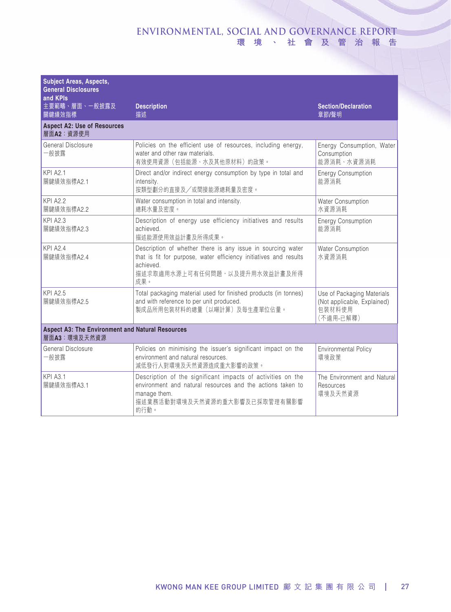| <b>Subject Areas, Aspects,</b><br><b>General Disclosures</b><br>and KPIs |                                                                                                                                                                                       |                                                                                  |  |
|--------------------------------------------------------------------------|---------------------------------------------------------------------------------------------------------------------------------------------------------------------------------------|----------------------------------------------------------------------------------|--|
| 主要範疇、層面、一般披露及<br>關鍵績效指標                                                  | <b>Description</b><br>描述                                                                                                                                                              | <b>Section/Declaration</b><br>章節/聲明                                              |  |
| <b>Aspect A2: Use of Resources</b><br>層面A2: 資源使用                         |                                                                                                                                                                                       |                                                                                  |  |
| General Disclosure<br>一般披露                                               | Policies on the efficient use of resources, including energy,<br>water and other raw materials.<br>有效使用資源(包括能源、水及其他原材料)的政策。                                                           | Energy Consumption, Water<br>Consumption<br>能源消耗、水資源消耗                           |  |
| <b>KPI A2.1</b><br>關鍵績效指標A2.1                                            | Direct and/or indirect energy consumption by type in total and<br>intensity.<br>按類型劃分的直接及/或間接能源總耗量及密度。                                                                                | <b>Energy Consumption</b><br>能源消耗                                                |  |
| <b>KPI A2.2</b><br>關鍵績效指標A2.2                                            | Water consumption in total and intensity.<br>總耗水量及密度。                                                                                                                                 | Water Consumption<br>水資源消耗                                                       |  |
| <b>KPI A2.3</b><br>關鍵績效指標A2.3                                            | Description of energy use efficiency initiatives and results<br>achieved.<br>描述能源使用效益計畫及所得成果。                                                                                         | <b>Energy Consumption</b><br>能源消耗                                                |  |
| KPI A2.4<br>關鍵績效指標A2.4                                                   | Description of whether there is any issue in sourcing water<br>that is fit for purpose, water efficiency initiatives and results<br>achieved.<br>描述求取適用水源上可有任何問題,以及提升用水效益計畫及所得<br>成果。 | Water Consumption<br>水資源消耗                                                       |  |
| <b>KPI A2.5</b><br>關鍵績效指標A2.5                                            | Total packaging material used for finished products (in tonnes)<br>and with reference to per unit produced.<br>製成品所用包裝材料的總量(以噸計算)及每生產單位佔量。                                            | Use of Packaging Materials<br>(Not applicable, Explained)<br>包装材料使用<br>(不適用-已解釋) |  |
| <b>Aspect A3: The Environment and Natural Resources</b><br>層面A3: 環境及天然資源 |                                                                                                                                                                                       |                                                                                  |  |
| General Disclosure<br>一般披露                                               | Policies on minimising the issuer's significant impact on the<br>environment and natural resources.<br>減低發行人對環境及天然資源造成重大影響的政策。                                                        | <b>Environmental Policy</b><br>環境政策                                              |  |
| KPI A3.1<br>關鍵績效指標A3.1                                                   | Description of the significant impacts of activities on the<br>environment and natural resources and the actions taken to<br>manage them.<br>描述業務活動對環境及天然資源的重大影響及已採取管理有關影響<br>的行動。    | The Environment and Natural<br>Resources<br>環境及天然資源                              |  |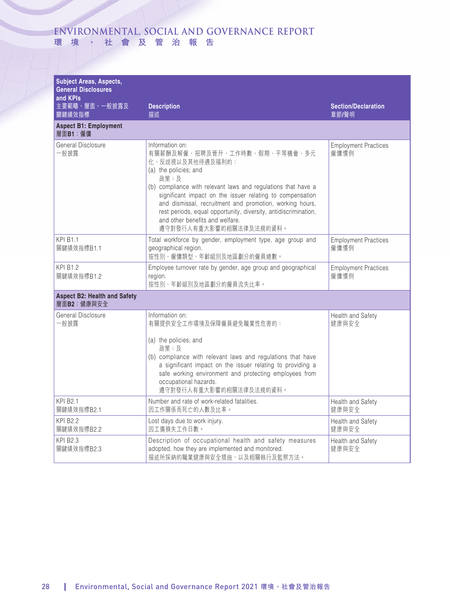| <b>Subject Areas, Aspects,</b><br><b>General Disclosures</b><br>and KPIs |                                                                                                                                                                                                                                                                                                                                                                                                                                  |                                     |
|--------------------------------------------------------------------------|----------------------------------------------------------------------------------------------------------------------------------------------------------------------------------------------------------------------------------------------------------------------------------------------------------------------------------------------------------------------------------------------------------------------------------|-------------------------------------|
| 主要範疇、層面、一般披露及<br>關鍵績效指標                                                  | <b>Description</b><br>描述                                                                                                                                                                                                                                                                                                                                                                                                         | <b>Section/Declaration</b><br>章節/聲明 |
| <b>Aspect B1: Employment</b><br>層面B1:僱傭                                  |                                                                                                                                                                                                                                                                                                                                                                                                                                  |                                     |
| General Disclosure<br>一般披露                                               | Information on:<br>有關薪酬及解僱、招聘及晉升、工作時數、假期、平等機會、多元<br>化、反歧視以及其他待遇及福利的:<br>(a) the policies; and<br>政策;及<br>(b) compliance with relevant laws and regulations that have a<br>significant impact on the issuer relating to compensation<br>and dismissal, recruitment and promotion, working hours,<br>rest periods, equal opportunity, diversity, antidiscrimination,<br>and other benefits and welfare.<br>遵守對發行人有重大影響的相關法律及法規的資料。 | <b>Employment Practices</b><br>僱傭慣例 |
| KPI B1.1<br>關鍵績效指標B1.1                                                   | Total workforce by gender, employment type, age group and<br>geographical region.<br>按性別、僱傭類型、年齡組別及地區劃分的僱員總數。                                                                                                                                                                                                                                                                                                                    | <b>Employment Practices</b><br>僱傭慣例 |
| <b>KPI B1.2</b><br>關鍵績效指標B1.2                                            | Employee turnover rate by gender, age group and geographical<br>region.<br>按性別、年齡組別及地區劃分的僱員流失比率。                                                                                                                                                                                                                                                                                                                                 | <b>Employment Practices</b><br>僱傭慣例 |
| <b>Aspect B2: Health and Safety</b><br>層面B2:健康與安全                        |                                                                                                                                                                                                                                                                                                                                                                                                                                  |                                     |
| General Disclosure<br>一般披露                                               | Information on:<br>有關提供安全工作環境及保障僱員避免職業性危害的:<br>(a) the policies; and<br>政策;及<br>(b) compliance with relevant laws and regulations that have<br>a significant impact on the issuer relating to providing a<br>safe working environment and protecting employees from<br>occupational hazards.<br>遵守對發行人有重大影響的相關法律及法規的資料。                                                                                                          | Health and Safety<br>健康與安全          |
| <b>KPI B2.1</b><br>關鍵績效指標B2.1                                            | Number and rate of work-related fatalities.<br>因工作關係而死亡的人數及比率。                                                                                                                                                                                                                                                                                                                                                                   | Health and Safety<br>健康與安全          |
| <b>KPI B2.2</b><br>關鍵績效指標B2.2                                            | Lost days due to work injury.<br>因工傷損失工作日數。                                                                                                                                                                                                                                                                                                                                                                                      | Health and Safety<br>健康與安全          |
| <b>KPI B2.3</b><br>關鍵績效指標B2.3                                            | Description of occupational health and safety measures<br>adopted, how they are implemented and monitored.<br>描述所採納的職業健康與安全措施,以及相關執行及監察方法。                                                                                                                                                                                                                                                                                       | Health and Safety<br>健康與安全          |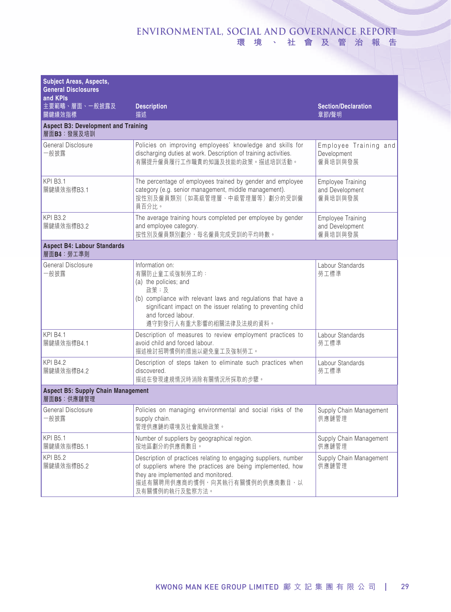| <b>Subject Areas, Aspects,</b><br><b>General Disclosures</b><br>and KPIs |                                                                                                                                                                                                                                                      |                                                 |  |  |
|--------------------------------------------------------------------------|------------------------------------------------------------------------------------------------------------------------------------------------------------------------------------------------------------------------------------------------------|-------------------------------------------------|--|--|
| 主要範疇、層面、一般披露及<br>關鍵績效指標                                                  | <b>Description</b><br>描述                                                                                                                                                                                                                             | <b>Section/Declaration</b><br>章節/聲明             |  |  |
| <b>Aspect B3: Development and Training</b><br>層面B3:發展及培訓                 |                                                                                                                                                                                                                                                      |                                                 |  |  |
| General Disclosure<br>一般披露                                               | Policies on improving employees' knowledge and skills for<br>discharging duties at work. Description of training activities.<br>有關提升僱員履行工作職責的知識及技能的政策。描述培訓活動。                                                                                        | Employee Training and<br>Development<br>僱員培訓與發展 |  |  |
| <b>KPI B3.1</b><br>關鍵績效指標B3.1                                            | The percentage of employees trained by gender and employee<br>category (e.g. senior management, middle management).<br>按性別及僱員類別 (如高級管理層、中級管理層等) 劃分的受訓僱<br>員百分比。                                                                                      | Employee Training<br>and Development<br>僱員培訓與發展 |  |  |
| <b>KPI B3.2</b><br>關鍵績效指標B3.2                                            | The average training hours completed per employee by gender<br>and employee category.<br>按性別及僱員類別劃分,每名僱員完成受訓的平均時數。                                                                                                                                   | Employee Training<br>and Development<br>僱員培訓與發展 |  |  |
| <b>Aspect B4: Labour Standards</b><br>層面B4: 勞工準則                         |                                                                                                                                                                                                                                                      |                                                 |  |  |
| General Disclosure<br>一般披露                                               | Information on:<br>有關防止童工或強制勞工的:<br>(a) the policies; and<br>政策;及<br>(b) compliance with relevant laws and regulations that have a<br>significant impact on the issuer relating to preventing child<br>and forced labour.<br>遵守對發行人有重大影響的相關法律及法規的資料。 | Labour Standards<br>勞工標準                        |  |  |
| <b>KPI B4.1</b><br>關鍵績效指標B4.1                                            | Description of measures to review employment practices to<br>avoid child and forced labour.<br>描述檢討招聘慣例的措施以避免童工及強制勞工。                                                                                                                                | Labour Standards<br>勞工標準                        |  |  |
| <b>KPI B4.2</b><br>關鍵績效指標B4.2                                            | Description of steps taken to eliminate such practices when<br>discovered.<br>描述在發現違規情況時消除有關情況所採取的步驟。                                                                                                                                                | Labour Standards<br>勞工標準                        |  |  |
| <b>Aspect B5: Supply Chain Management</b><br>層面B5:供應鏈管理                  |                                                                                                                                                                                                                                                      |                                                 |  |  |
| General Disclosure<br>般披露                                                | Policies on managing environmental and social risks of the<br>supply chain.<br>管理供應鏈的環境及社會風險政策。                                                                                                                                                      | Supply Chain Management<br>供應鏈管理                |  |  |
| <b>KPI B5.1</b><br>關鍵績效指標B5.1                                            | Number of suppliers by geographical region.<br>按地區劃分的供應商數目。                                                                                                                                                                                          | Supply Chain Management<br>供應鏈管理                |  |  |
| <b>KPI B5.2</b><br>關鍵績效指標B5.2                                            | Description of practices relating to engaging suppliers, number<br>of suppliers where the practices are being implemented, how<br>they are implemented and monitored.<br>描述有關聘用供應商的慣例,向其執行有關慣例的供應商數目、以<br>及有關慣例的執行及監察方法。                             | Supply Chain Management<br>供應鏈管理                |  |  |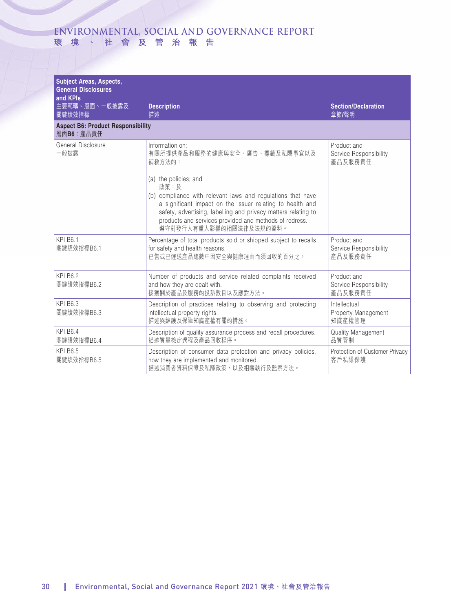| <b>Subject Areas, Aspects,</b><br><b>General Disclosures</b><br>and KPIs |                                                                                                                                                                                                                                                                                                                                                                                |                                                  |
|--------------------------------------------------------------------------|--------------------------------------------------------------------------------------------------------------------------------------------------------------------------------------------------------------------------------------------------------------------------------------------------------------------------------------------------------------------------------|--------------------------------------------------|
| 主要範疇、層面、一般披露及<br>關鍵績效指標                                                  | <b>Description</b><br>描述                                                                                                                                                                                                                                                                                                                                                       | <b>Section/Declaration</b><br>章節/聲明              |
| <b>Aspect B6: Product Responsibility</b><br>層面B6: 產品責任                   |                                                                                                                                                                                                                                                                                                                                                                                |                                                  |
| General Disclosure<br>一般披露                                               | Information on:<br>有關所提供產品和服務的健康與安全、廣告、標籤及私隱事宜以及<br>補救方法的:<br>(a) the policies; and<br>政策;及<br>(b) compliance with relevant laws and regulations that have<br>a significant impact on the issuer relating to health and<br>safety, advertising, labelling and privacy matters relating to<br>products and services provided and methods of redress.<br>遵守對發行人有重大影響的相關法律及法規的資料。 | Product and<br>Service Responsibility<br>產品及服務責任 |
| <b>KPI B6.1</b><br>關鍵績效指標B6.1                                            | Percentage of total products sold or shipped subject to recalls<br>for safety and health reasons.<br>已售或已運送產品總數中因安全與健康理由而須回收的百分比。                                                                                                                                                                                                                                              | Product and<br>Service Responsibility<br>產品及服務責任 |
| <b>KPI B6.2</b><br>關鍵績效指標B6.2                                            | Number of products and service related complaints received<br>and how they are dealt with.<br>接獲關於產品及服務的投訴數目以及應對方法。                                                                                                                                                                                                                                                            | Product and<br>Service Responsibility<br>產品及服務責任 |
| <b>KPI B6.3</b><br>關鍵績效指標B6.3                                            | Description of practices relating to observing and protecting<br>intellectual property rights.<br>描述與維護及保障知識產權有關的措施。                                                                                                                                                                                                                                                           | Intellectual<br>Property Management<br>知識產權管理    |
| <b>KPI B6.4</b><br>關鍵績效指標B6.4                                            | Description of quality assurance process and recall procedures.<br>描述質量檢定過程及產品回收程序。                                                                                                                                                                                                                                                                                            | Quality Management<br>品質管制                       |
| <b>KPI B6.5</b><br>關鍵績效指標B6.5                                            | Description of consumer data protection and privacy policies,<br>how they are implemented and monitored.<br>描述消費者資料保障及私隱政策,以及相關執行及監察方法。                                                                                                                                                                                                                                        | Protection of Customer Privacy<br>客戶私隱保護         |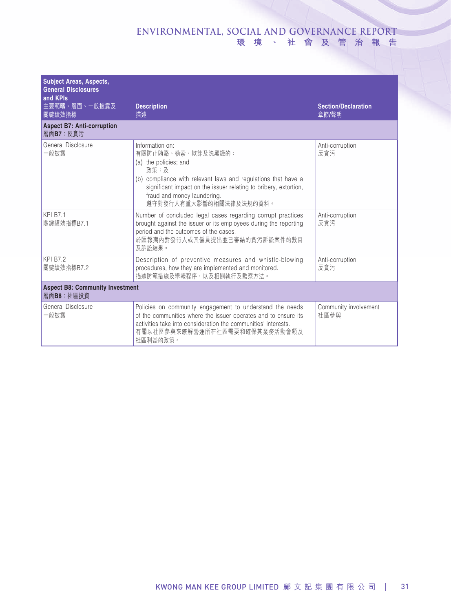| <b>Subject Areas, Aspects,</b><br><b>General Disclosures</b><br>and KPIs |                                                                                                                                                                                                                                                                       |                                     |  |
|--------------------------------------------------------------------------|-----------------------------------------------------------------------------------------------------------------------------------------------------------------------------------------------------------------------------------------------------------------------|-------------------------------------|--|
| 主要範疇、層面、一般披露及<br>關鍵績效指標                                                  | <b>Description</b><br>描述                                                                                                                                                                                                                                              | <b>Section/Declaration</b><br>章節/聲明 |  |
| <b>Aspect B7: Anti-corruption</b><br>層面B7:反貪污                            |                                                                                                                                                                                                                                                                       |                                     |  |
| General Disclosure<br>-般披露                                               | Information on:<br>有關防止賄賂、勒索、欺詐及洗黑錢的:<br>(a) the policies; and<br>政策;及<br>(b) compliance with relevant laws and regulations that have a<br>significant impact on the issuer relating to bribery, extortion,<br>fraud and money laundering.<br>遵守對發行人有重大影響的相關法律及法規的資料。 | Anti-corruption<br>反貪污              |  |
| <b>KPI B7.1</b><br>關鍵績效指標B7.1                                            | Number of concluded legal cases regarding corrupt practices<br>brought against the issuer or its employees during the reporting<br>period and the outcomes of the cases.<br>於匯報期內對發行人或其僱員提出並已審結的貪污訴訟案件的數目<br>及訴訟結果。                                                   | Anti-corruption<br>反貪污              |  |
| <b>KPI B7.2</b><br>關鍵績效指標B7.2                                            | Description of preventive measures and whistle-blowing<br>procedures, how they are implemented and monitored.<br>描述防範措施及舉報程序,以及相關執行及監察方法。                                                                                                                             | Anti-corruption<br>反貪污              |  |
| <b>Aspect B8: Community Investment</b><br>層面B8: 社區投資                     |                                                                                                                                                                                                                                                                       |                                     |  |
| General Disclosure<br>一般披露                                               | Policies on community engagement to understand the needs<br>of the communities where the issuer operates and to ensure its<br>activities take into consideration the communities' interests.<br>有關以社區參與來瞭解營運所在社區需要和確保其業務活動會顧及<br>社區利益的政策。                             | Community involvement<br>社區參與       |  |